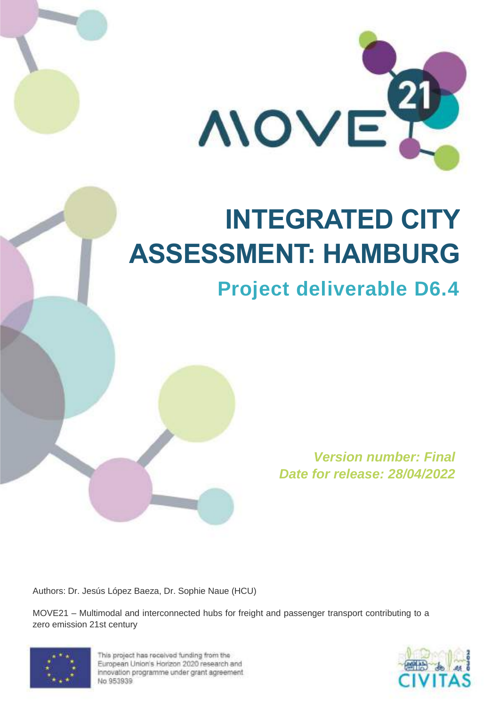

# **INTEGRATED CITY ASSESSMENT: HAMBURG**

# **Project deliverable D6.4**

**Version number: Final Date for release: 28/04/2022**

Authors: Dr. Jesús López Baeza, Dr. Sophie Naue (HCU)

MOVE21 – Multimodal and interconnected hubs for freight and passenger transport contributing to a zero emission 21st century



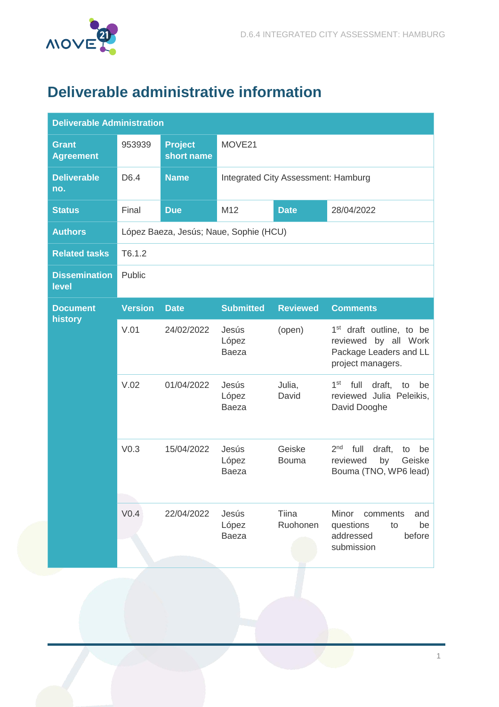

# <span id="page-1-0"></span>**Deliverable administrative information**

| <b>Deliverable Administration</b> |                  |                                        |                                  |                                     |                                                                                                             |  |
|-----------------------------------|------------------|----------------------------------------|----------------------------------|-------------------------------------|-------------------------------------------------------------------------------------------------------------|--|
| <b>Grant</b><br><b>Agreement</b>  | 953939           | <b>Project</b><br>short name           | MOVE21                           |                                     |                                                                                                             |  |
| <b>Deliverable</b><br>no.         | D6.4             | <b>Name</b>                            |                                  | Integrated City Assessment: Hamburg |                                                                                                             |  |
| <b>Status</b>                     | Final            | <b>Due</b>                             | M12<br><b>Date</b><br>28/04/2022 |                                     |                                                                                                             |  |
| <b>Authors</b>                    |                  | López Baeza, Jesús; Naue, Sophie (HCU) |                                  |                                     |                                                                                                             |  |
| <b>Related tasks</b>              | T6.1.2           |                                        |                                  |                                     |                                                                                                             |  |
| <b>Dissemination</b><br>level     | Public           |                                        |                                  |                                     |                                                                                                             |  |
| <b>Document</b><br>history        | <b>Version</b>   | <b>Date</b>                            | <b>Submitted</b>                 | <b>Reviewed</b>                     | <b>Comments</b>                                                                                             |  |
|                                   | V.01             | 24/02/2022                             | Jesús<br>López<br><b>Baeza</b>   | (open)                              | 1 <sup>st</sup> draft outline, to be<br>reviewed by all Work<br>Package Leaders and LL<br>project managers. |  |
|                                   | V.02             | 01/04/2022                             | Jesús<br>López<br><b>Baeza</b>   | Julia,<br>David                     | 1 <sup>st</sup><br>full<br>draft,<br>to<br>be<br>reviewed Julia Peleikis,<br>David Dooghe                   |  |
|                                   | V <sub>0.3</sub> | 15/04/2022                             | Jesús<br>López<br><b>Baeza</b>   | Geiske<br><b>Bouma</b>              | 2 <sub>nd</sub><br>full<br>draft,<br>be<br>to<br>reviewed<br>by<br>Geiske<br>Bouma (TNO, WP6 lead)          |  |
|                                   | V <sub>0.4</sub> | 22/04/2022                             | Jesús<br>López<br><b>Baeza</b>   | Tiina<br>Ruohonen                   | Minor<br>comments<br>and<br>questions<br>to<br>be<br>addressed<br>before<br>submission                      |  |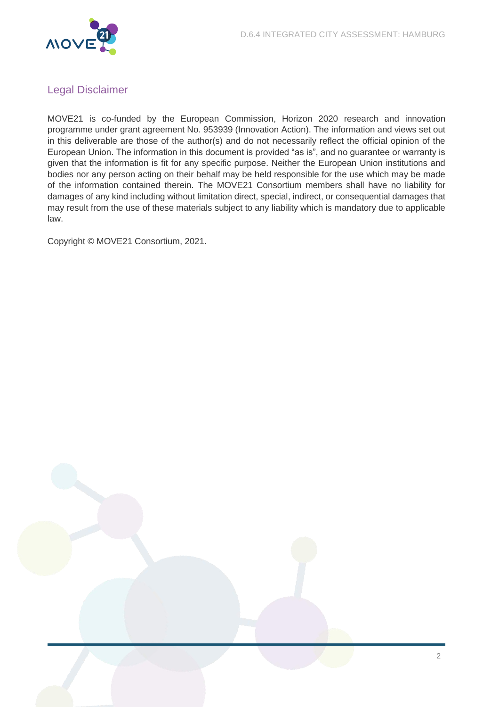

# <span id="page-2-0"></span>Legal Disclaimer

MOVE21 is co-funded by the European Commission, Horizon 2020 research and innovation programme under grant agreement No. 953939 (Innovation Action). The information and views set out in this deliverable are those of the author(s) and do not necessarily reflect the official opinion of the European Union. The information in this document is provided "as is", and no guarantee or warranty is given that the information is fit for any specific purpose. Neither the European Union institutions and bodies nor any person acting on their behalf may be held responsible for the use which may be made of the information contained therein. The MOVE21 Consortium members shall have no liability for damages of any kind including without limitation direct, special, indirect, or consequential damages that may result from the use of these materials subject to any liability which is mandatory due to applicable law.

Copyright © MOVE21 Consortium, 2021.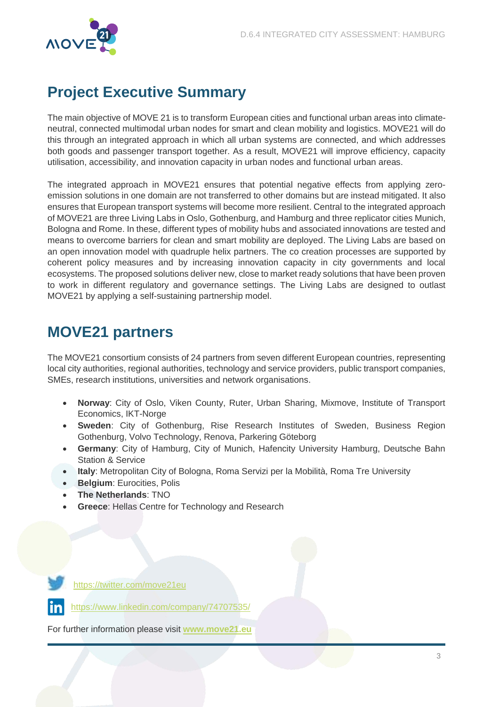

# <span id="page-3-0"></span>**Project Executive Summary**

The main objective of MOVE 21 is to transform European cities and functional urban areas into climateneutral, connected multimodal urban nodes for smart and clean mobility and logistics. MOVE21 will do this through an integrated approach in which all urban systems are connected, and which addresses both goods and passenger transport together. As a result, MOVE21 will improve efficiency, capacity utilisation, accessibility, and innovation capacity in urban nodes and functional urban areas.

The integrated approach in MOVE21 ensures that potential negative effects from applying zeroemission solutions in one domain are not transferred to other domains but are instead mitigated. It also ensures that European transport systems will become more resilient. Central to the integrated approach of MOVE21 are three Living Labs in Oslo, Gothenburg, and Hamburg and three replicator cities Munich, Bologna and Rome. In these, different types of mobility hubs and associated innovations are tested and means to overcome barriers for clean and smart mobility are deployed. The Living Labs are based on an open innovation model with quadruple helix partners. The co creation processes are supported by coherent policy measures and by increasing innovation capacity in city governments and local ecosystems. The proposed solutions deliver new, close to market ready solutions that have been proven to work in different regulatory and governance settings. The Living Labs are designed to outlast MOVE21 by applying a self-sustaining partnership model.

# <span id="page-3-1"></span>**MOVE21 partners**

The MOVE21 consortium consists of 24 partners from seven different European countries, representing local city authorities, regional authorities, technology and service providers, public transport companies, SMEs, research institutions, universities and network organisations.

- **Norway**: City of Oslo, Viken County, Ruter, Urban Sharing, Mixmove, Institute of Transport Economics, IKT-Norge
- **Sweden**: City of Gothenburg, Rise Research Institutes of Sweden, Business Region Gothenburg, Volvo Technology, Renova, Parkering Göteborg
- **Germany**: City of Hamburg, City of Munich, Hafencity University Hamburg, Deutsche Bahn Station & Service
- **Italy**: Metropolitan City of Bologna, Roma Servizi per la Mobilità, Roma Tre University
- **Belgium: Eurocities, Polis**
- **The Netherlands**: TNO
- **Greece**: Hellas Centre for Technology and Research



<https://twitter.com/move21eu>

<https://www.linkedin.com/company/74707535/>

For further information please visit **[www.move21.eu](http://www.move21.eu/)**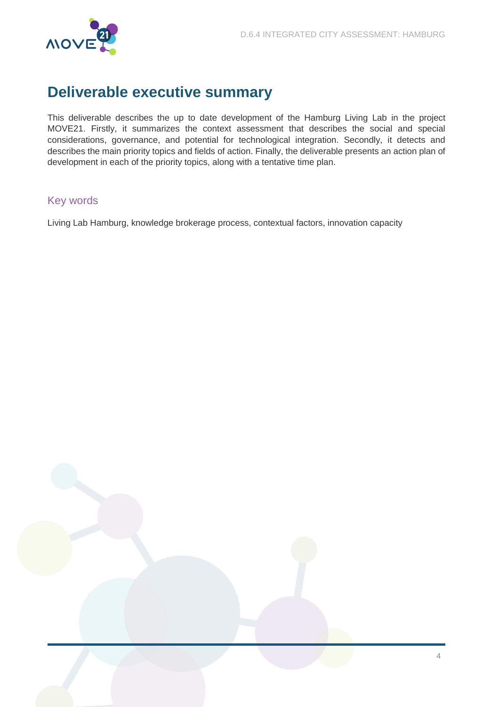

# <span id="page-4-0"></span>**Deliverable executive summary**

This deliverable describes the up to date development of the Hamburg Living Lab in the project MOVE21. Firstly, it summarizes the context assessment that describes the social and special considerations, governance, and potential for technological integration. Secondly, it detects and describes the main priority topics and fields of action. Finally, the deliverable presents an action plan of development in each of the priority topics, along with a tentative time plan.

# <span id="page-4-1"></span>Key words

Living Lab Hamburg, knowledge brokerage process, contextual factors, innovation capacity

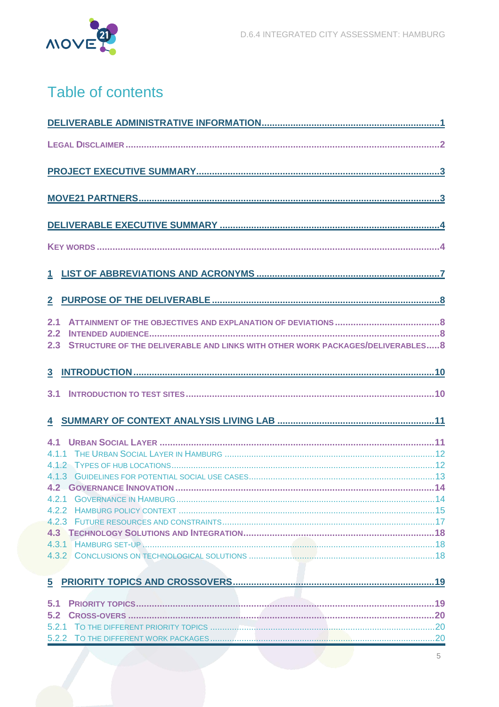

# Table of contents

| 2.1<br>2.2<br>STRUCTURE OF THE DELIVERABLE AND LINKS WITH OTHER WORK PACKAGES/DELIVERABLES 8<br>2.3 |   |
|-----------------------------------------------------------------------------------------------------|---|
|                                                                                                     |   |
| 3.1                                                                                                 |   |
|                                                                                                     |   |
|                                                                                                     |   |
|                                                                                                     |   |
|                                                                                                     |   |
|                                                                                                     |   |
|                                                                                                     |   |
|                                                                                                     |   |
|                                                                                                     |   |
|                                                                                                     |   |
|                                                                                                     |   |
|                                                                                                     |   |
| 5                                                                                                   |   |
| 5.1                                                                                                 |   |
| 5.2                                                                                                 |   |
|                                                                                                     |   |
|                                                                                                     | 5 |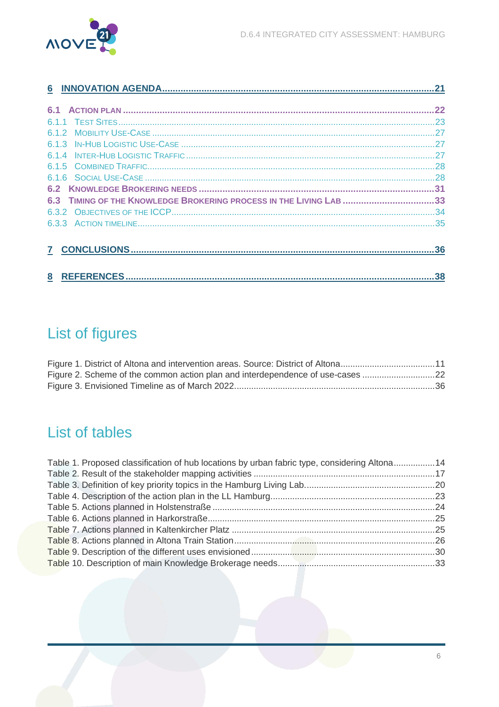

| 6                                                                  |  |
|--------------------------------------------------------------------|--|
|                                                                    |  |
| 61                                                                 |  |
|                                                                    |  |
|                                                                    |  |
|                                                                    |  |
|                                                                    |  |
|                                                                    |  |
|                                                                    |  |
|                                                                    |  |
| 6.3 TIMING OF THE KNOWLEDGE BROKERING PROCESS IN THE LIVING LAB 33 |  |
|                                                                    |  |
|                                                                    |  |
|                                                                    |  |
|                                                                    |  |

# **List of figures**

| Figure 1. District of Altona and intervention areas. Source: District of Altona11 |  |
|-----------------------------------------------------------------------------------|--|
| Figure 2. Scheme of the common action plan and interdependence of use-cases 22    |  |
|                                                                                   |  |

# List of tables

| Table 1. Proposed classification of hub locations by urban fabric type, considering Altona14 |  |
|----------------------------------------------------------------------------------------------|--|
|                                                                                              |  |
|                                                                                              |  |
|                                                                                              |  |
|                                                                                              |  |
|                                                                                              |  |
|                                                                                              |  |
|                                                                                              |  |
|                                                                                              |  |
|                                                                                              |  |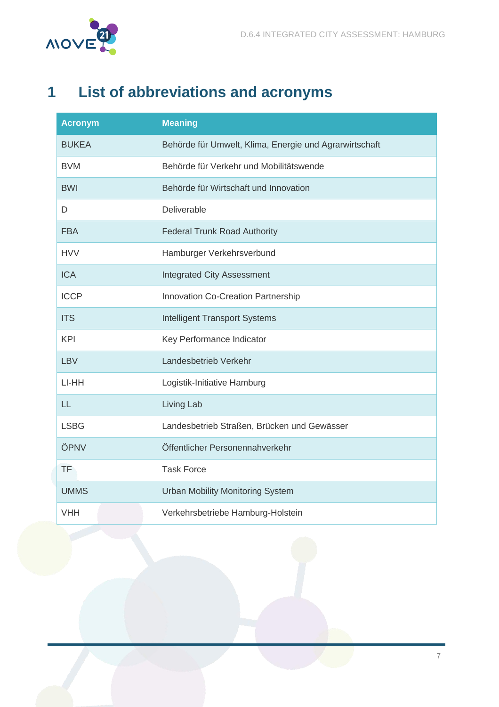

# <span id="page-7-0"></span>**1 List of abbreviations and acronyms**

| <b>Acronym</b> | <b>Meaning</b>                                         |
|----------------|--------------------------------------------------------|
| <b>BUKEA</b>   | Behörde für Umwelt, Klima, Energie und Agrarwirtschaft |
| <b>BVM</b>     | Behörde für Verkehr und Mobilitätswende                |
| <b>BWI</b>     | Behörde für Wirtschaft und Innovation                  |
| D              | Deliverable                                            |
| <b>FBA</b>     | <b>Federal Trunk Road Authority</b>                    |
| <b>HVV</b>     | Hamburger Verkehrsverbund                              |
| <b>ICA</b>     | <b>Integrated City Assessment</b>                      |
| <b>ICCP</b>    | Innovation Co-Creation Partnership                     |
| <b>ITS</b>     | <b>Intelligent Transport Systems</b>                   |
| <b>KPI</b>     | Key Performance Indicator                              |
| <b>LBV</b>     | Landesbetrieb Verkehr                                  |
| LI-HH          | Logistik-Initiative Hamburg                            |
| LL             | Living Lab                                             |
| <b>LSBG</b>    | Landesbetrieb Straßen, Brücken und Gewässer            |
| ÖPNV           | Öffentlicher Personennahverkehr                        |
| <b>TF</b>      | <b>Task Force</b>                                      |
| <b>UMMS</b>    | <b>Urban Mobility Monitoring System</b>                |
| <b>VHH</b>     | Verkehrsbetriebe Hamburg-Holstein                      |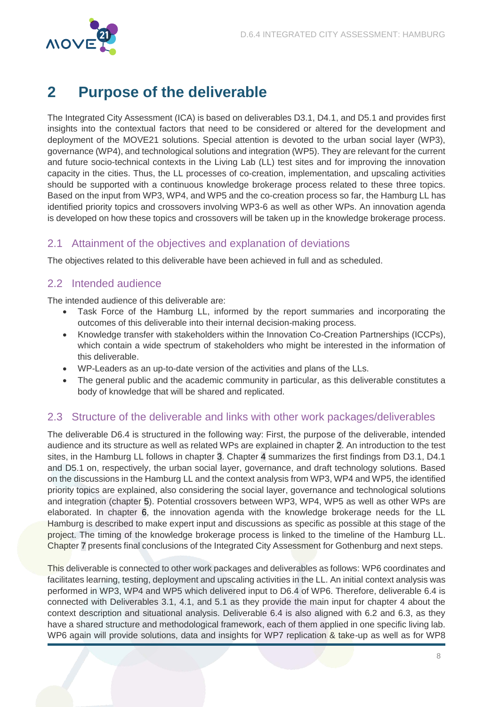

# <span id="page-8-0"></span>**2 Purpose of the deliverable**

The Integrated City Assessment (ICA) is based on deliverables D3.1, D4.1, and D5.1 and provides first insights into the contextual factors that need to be considered or altered for the development and deployment of the MOVE21 solutions. Special attention is devoted to the urban social layer (WP3), governance (WP4), and technological solutions and integration (WP5). They are relevant for the current and future socio-technical contexts in the Living Lab (LL) test sites and for improving the innovation capacity in the cities. Thus, the LL processes of co-creation, implementation, and upscaling activities should be supported with a continuous knowledge brokerage process related to these three topics. Based on the input from WP3, WP4, and WP5 and the co-creation process so far, the Hamburg LL has identified priority topics and crossovers involving WP3-6 as well as other WPs. An innovation agenda is developed on how these topics and crossovers will be taken up in the knowledge brokerage process.

# <span id="page-8-1"></span>2.1 Attainment of the objectives and explanation of deviations

The objectives related to this deliverable have been achieved in full and as scheduled.

# <span id="page-8-2"></span>2.2 Intended audience

The intended audience of this deliverable are:

- Task Force of the Hamburg LL, informed by the report summaries and incorporating the outcomes of this deliverable into their internal decision-making process.
- Knowledge transfer with stakeholders within the Innovation Co-Creation Partnerships (ICCPs), which contain a wide spectrum of stakeholders who might be interested in the information of this deliverable.
- WP-Leaders as an up-to-date version of the activities and plans of the LLs.
- The general public and the academic community in particular, as this deliverable constitutes a body of knowledge that will be shared and replicated.

# <span id="page-8-3"></span>2.3 Structure of the deliverable and links with other work packages/deliverables

The deliverable D6.4 is structured in the following way: First, the purpose of the deliverable, intended audience and its structure as well as related WPs are explained in chapter 2. An introduction to the test sites, in the Hamburg LL follows in chapter 3. Chapter 4 summarizes the first findings from D3.1, D4.1 and D5.1 on, respectively, the urban social layer, governance, and draft technology solutions. Based on the discussions in the Hamburg LL and the context analysis from WP3, WP4 and WP5, the identified priority topics are explained, also considering the social layer, governance and technological solutions and integration (chapter 5). Potential crossovers between WP3, WP4, WP5 as well as other WPs are elaborated. In chapter 6, the innovation agenda with the knowledge brokerage needs for the LL Hamburg is described to make expert input and discussions as specific as possible at this stage of the project. The timing of the knowledge brokerage process is linked to the timeline of the Hamburg LL. Chapter 7 presents final conclusions of the Integrated City Assessment for Gothenburg and next steps.

This deliverable is connected to other work packages and deliverables as follows: WP6 coordinates and facilitates learning, testing, deployment and upscaling activities in the LL. An initial context analysis was performed in WP3, WP4 and WP5 which delivered input to D6.4 of WP6. Therefore, deliverable 6.4 is connected with Deliverables 3.1, 4.1, and 5.1 as they provide the main input for chapter 4 about the context description and situational analysis. Deliverable 6.4 is also aligned with 6.2 and 6.3, as they have a shared structure and methodological framework, each of them applied in one specific living lab. WP6 again will provide solutions, data and insights for WP7 replication & take-up as well as for WP8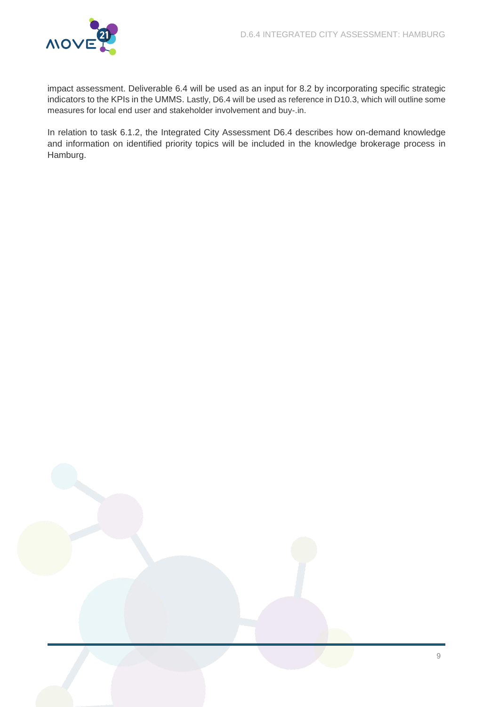

impact assessment. Deliverable 6.4 will be used as an input for 8.2 by incorporating specific strategic indicators to the KPIs in the UMMS. Lastly, D6.4 will be used as reference in D10.3, which will outline some measures for local end user and stakeholder involvement and buy-.in.

In relation to task 6.1.2, the Integrated City Assessment D6.4 describes how on-demand knowledge and information on identified priority topics will be included in the knowledge brokerage process in Hamburg.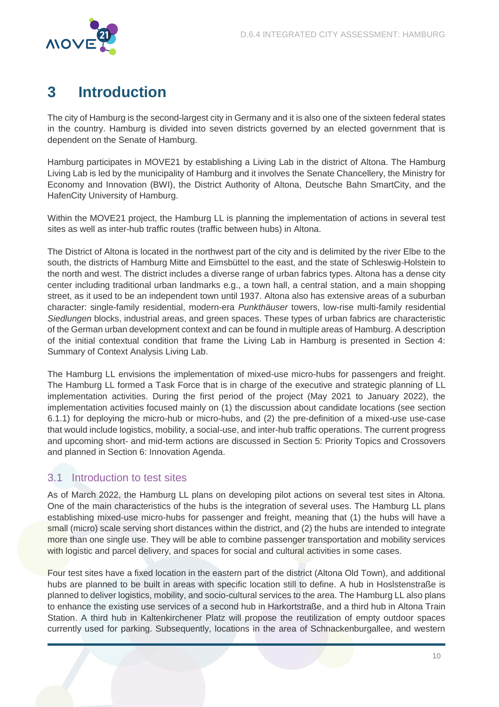

# <span id="page-10-0"></span>**3 Introduction**

The city of Hamburg is the second-largest city in Germany and it is also one of the sixteen federal states in the country. Hamburg is divided into seven districts governed by an elected government that is dependent on the Senate of Hamburg.

Hamburg participates in MOVE21 by establishing a Living Lab in the district of Altona. The Hamburg Living Lab is led by the municipality of Hamburg and it involves the Senate Chancellery, the Ministry for Economy and Innovation (BWI), the District Authority of Altona, Deutsche Bahn SmartCity, and the HafenCity University of Hamburg.

Within the MOVE21 project, the Hamburg LL is planning the implementation of actions in several test sites as well as inter-hub traffic routes (traffic between hubs) in Altona.

The District of Altona is located in the northwest part of the city and is delimited by the river Elbe to the south, the districts of Hamburg Mitte and Eimsbüttel to the east, and the state of Schleswig-Holstein to the north and west. The district includes a diverse range of urban fabrics types. Altona has a dense city center including traditional urban landmarks e.g., a town hall, a central station, and a main shopping street, as it used to be an independent town until 1937. Altona also has extensive areas of a suburban character: single-family residential, modern-era Punkthäuser towers, low-rise multi-family residential Siedlungen blocks, industrial areas, and green spaces. These types of urban fabrics are characteristic of the German urban development context and can be found in multiple areas of Hamburg. A description of the initial contextual condition that frame the Living Lab in Hamburg is presented in Section 4: Summary of Context Analysis Living Lab.

The Hamburg LL envisions the implementation of mixed-use micro-hubs for passengers and freight. The Hamburg LL formed a Task Force that is in charge of the executive and strategic planning of LL implementation activities. During the first period of the project (May 2021 to January 2022), the implementation activities focused mainly on (1) the discussion about candidate locations (see section 6.1.1) for deploying the micro-hub or micro-hubs, and (2) the pre-definition of a mixed-use use-case that would include logistics, mobility, a social-use, and inter-hub traffic operations. The current progress and upcoming short- and mid-term actions are discussed in Section 5: Priority Topics and Crossovers and planned in Section 6: Innovation Agenda.

# <span id="page-10-1"></span>3.1 Introduction to test sites

As of March 2022, the Hamburg LL plans on developing pilot actions on several test sites in Altona. One of the main characteristics of the hubs is the integration of several uses. The Hamburg LL plans establishing mixed-use micro-hubs for passenger and freight, meaning that (1) the hubs will have a small (micro) scale serving short distances within the district, and (2) the hubs are intended to integrate more than one single use. They will be able to combine passenger transportation and mobility services with logistic and parcel delivery, and spaces for social and cultural activities in some cases.

Four test sites have a fixed location in the eastern part of the district (Altona Old Town), and additional hubs are planned to be built in areas with specific location still to define. A hub in Hoslstenstraße is planned to deliver logistics, mobility, and socio-cultural services to the area. The Hamburg LL also plans to enhance the existing use services of a second hub in Harkortstraße, and a third hub in Altona Train Station. A third hub in Kaltenkirchener Platz will propose the reutilization of empty outdoor spaces currently used for parking. Subsequently, locations in the area of Schnackenburgallee, and western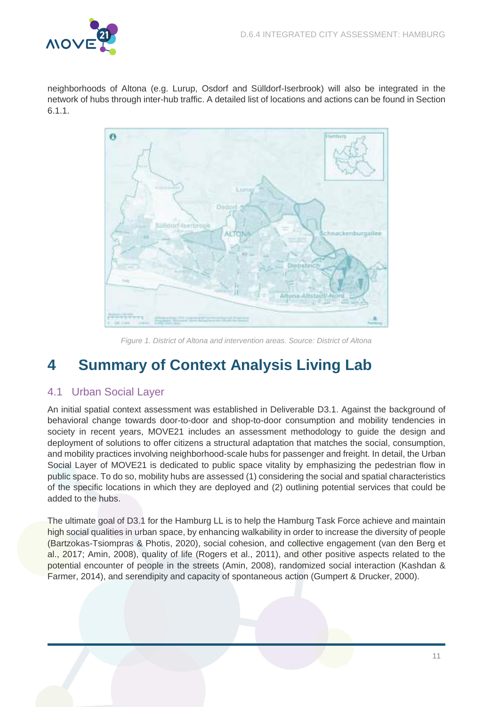

neighborhoods of Altona (e.g. Lurup, Osdorf and Sülldorf-Iserbrook) will also be integrated in the network of hubs through inter-hub traffic. A detailed list of locations and actions can be found in Section 6.1.1.



Figure 1. District of Altona and intervention areas. Source: District of Altona

# <span id="page-11-2"></span><span id="page-11-0"></span>**4 Summary of Context Analysis Living Lab**

# <span id="page-11-1"></span>4.1 Urban Social Layer

An initial spatial context assessment was established in Deliverable D3.1. Against the background of behavioral change towards door-to-door and shop-to-door consumption and mobility tendencies in society in recent years, MOVE21 includes an assessment methodology to guide the design and deployment of solutions to offer citizens a structural adaptation that matches the social, consumption, and mobility practices involving neighborhood-scale hubs for passenger and freight. In detail, the Urban Social Layer of MOVE21 is dedicated to public space vitality by emphasizing the pedestrian flow in public space. To do so, mobility hubs are assessed (1) considering the social and spatial characteristics of the specific locations in which they are deployed and (2) outlining potential services that could be added to the hubs.

The ultimate goal of D3.1 for the Hamburg LL is to help the Hamburg Task Force achieve and maintain high social qualities in urban space, by enhancing walkability in order to increase the diversity of people (Bartzokas-Tsiompras & Photis, 2020), social cohesion, and collective engagement (van den Berg et al., 2017; Amin, 2008), quality of life (Rogers et al., 2011), and other positive aspects related to the potential encounter of people in the streets (Amin, 2008), randomized social interaction (Kashdan & Farmer, 2014), and serendipity and capacity of spontaneous action (Gumpert & Drucker, 2000).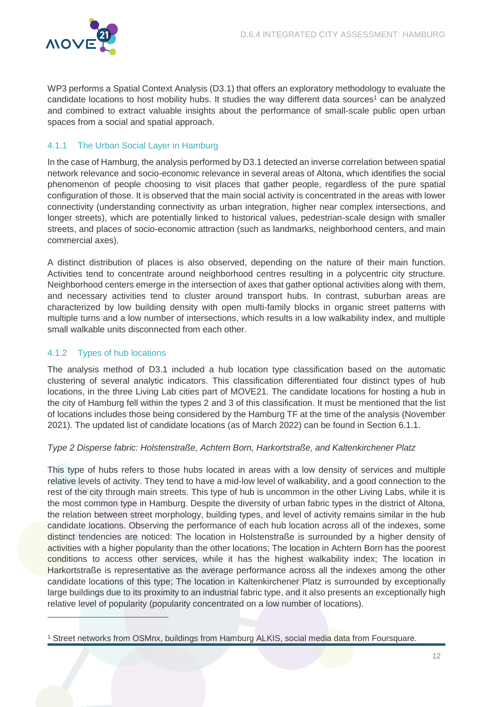

WP3 performs a Spatial Context Analysis (D3.1) that offers an exploratory methodology to evaluate the candidate locations to host mobility hubs. It studies the way different data sources<sup>1</sup> can be analyzed and combined to extract valuable insights about the performance of small-scale public open urban spaces from a social and spatial approach.

# <span id="page-12-0"></span>4.1.1 The Urban Social Layer in Hamburg

In the case of Hamburg, the analysis performed by D3.1 detected an inverse correlation between spatial network relevance and socio-economic relevance in several areas of Altona, which identifies the social phenomenon of people choosing to visit places that gather people, regardless of the pure spatial configuration of those. It is observed that the main social activity is concentrated in the areas with lower connectivity (understanding connectivity as urban integration, higher near complex intersections, and longer streets), which are potentially linked to historical values, pedestrian-scale design with smaller streets, and places of socio-economic attraction (such as landmarks, neighborhood centers, and main commercial axes).

A distinct distribution of places is also observed, depending on the nature of their main function. Activities tend to concentrate around neighborhood centres resulting in a polycentric city structure. Neighborhood centers emerge in the intersection of axes that gather optional activities along with them, and necessary activities tend to cluster around transport hubs. In contrast, suburban areas are characterized by low building density with open multi-family blocks in organic street patterns with multiple turns and a low number of intersections, which results in a low walkability index, and multiple small walkable units disconnected from each other.

# <span id="page-12-1"></span>4.1.2 Types of hub locations

 $\overline{a}$ 

The analysis method of D3.1 included a hub location type classification based on the automatic clustering of several analytic indicators. This classification differentiated four distinct types of hub locations, in the three Living Lab cities part of MOVE21. The candidate locations for hosting a hub in the city of Hamburg fell within the types 2 and 3 of this classification. It must be mentioned that the list of locations includes those being considered by the Hamburg TF at the time of the analysis (November 2021). The updated list of candidate locations (as of March 2022) can be found in Section 6.1.1.

#### Type 2 Disperse fabric: Holstenstraße, Achtern Born, Harkortstraße, and Kaltenkirchener Platz

This type of hubs refers to those hubs located in areas with a low density of services and multiple relative levels of activity. They tend to have a mid-low level of walkability, and a good connection to the rest of the city through main streets. This type of hub is uncommon in the other Living Labs, while it is the most common type in Hamburg. Despite the diversity of urban fabric types in the district of Altona, the relation between street morphology, building types, and level of activity remains similar in the hub candidate locations. Observing the performance of each hub location across all of the indexes, some distinct tendencies are noticed: The location in Holstenstraße is surrounded by a higher density of activities with a higher popularity than the other locations; The location in Achtern Born has the poorest conditions to access other services, while it has the highest walkability index; The location in Harkortstraße is representative as the average performance across all the indexes among the other candidate locations of this type; The location in Kaltenkirchener Platz is surrounded by exceptionally large buildings due to its proximity to an industrial fabric type, and it also presents an exceptionally high relative level of popularity (popularity concentrated on a low number of locations).

<sup>1</sup> Street networks from OSMnx, buildings from Hamburg ALKIS, social media data from Foursquare.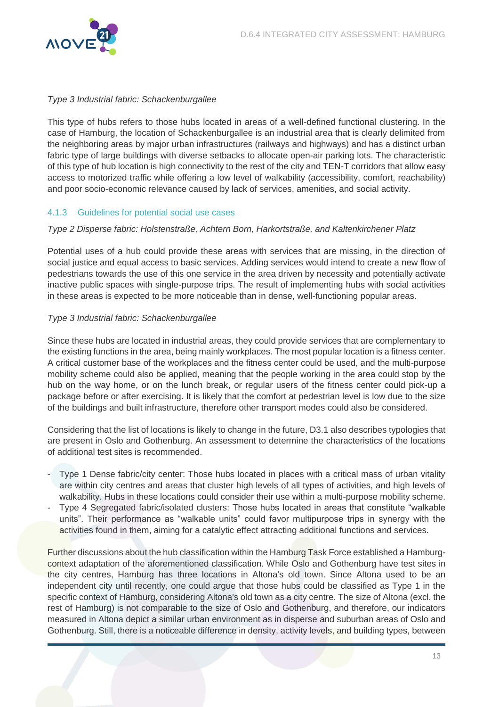

### Type 3 Industrial fabric: Schackenburgallee

This type of hubs refers to those hubs located in areas of a well-defined functional clustering. In the case of Hamburg, the location of Schackenburgallee is an industrial area that is clearly delimited from the neighboring areas by major urban infrastructures (railways and highways) and has a distinct urban fabric type of large buildings with diverse setbacks to allocate open-air parking lots. The characteristic of this type of hub location is high connectivity to the rest of the city and TEN-T corridors that allow easy access to motorized traffic while offering a low level of walkability (accessibility, comfort, reachability) and poor socio-economic relevance caused by lack of services, amenities, and social activity.

# <span id="page-13-0"></span>4.1.3 Guidelines for potential social use cases

### Type 2 Disperse fabric: Holstenstraße, Achtern Born, Harkortstraße, and Kaltenkirchener Platz

Potential uses of a hub could provide these areas with services that are missing, in the direction of social justice and equal access to basic services. Adding services would intend to create a new flow of pedestrians towards the use of this one service in the area driven by necessity and potentially activate inactive public spaces with single-purpose trips. The result of implementing hubs with social activities in these areas is expected to be more noticeable than in dense, well-functioning popular areas.

# Type 3 Industrial fabric: Schackenburgallee

Since these hubs are located in industrial areas, they could provide services that are complementary to the existing functions in the area, being mainly workplaces. The most popular location is a fitness center. A critical customer base of the workplaces and the fitness center could be used, and the multi-purpose mobility scheme could also be applied, meaning that the people working in the area could stop by the hub on the way home, or on the lunch break, or regular users of the fitness center could pick-up a package before or after exercising. It is likely that the comfort at pedestrian level is low due to the size of the buildings and built infrastructure, therefore other transport modes could also be considered.

Considering that the list of locations is likely to change in the future, D3.1 also describes typologies that are present in Oslo and Gothenburg. An assessment to determine the characteristics of the locations of additional test sites is recommended.

- Type 1 Dense fabric/city center: Those hubs located in places with a critical mass of urban vitality are within city centres and areas that cluster high levels of all types of activities, and high levels of walkability. Hubs in these locations could consider their use within a multi-purpose mobility scheme.
- Type 4 Segregated fabric/isolated clusters: Those hubs located in areas that constitute "walkable units". Their performance as "walkable units" could favor multipurpose trips in synergy with the activities found in them, aiming for a catalytic effect attracting additional functions and services.

Further discussions about the hub classification within the Hamburg Task Force established a Hamburgcontext adaptation of the aforementioned classification. While Oslo and Gothenburg have test sites in the city centres, Hamburg has three locations in Altona's old town. Since Altona used to be an independent city until recently, one could argue that those hubs could be classified as Type 1 in the specific context of Hamburg, considering Altona's old town as a city centre. The size of Altona (excl. the rest of Hamburg) is not comparable to the size of Oslo and Gothenburg, and therefore, our indicators measured in Altona depict a similar urban environment as in disperse and suburban areas of Oslo and Gothenburg. Still, there is a noticeable difference in density, activity levels, and building types, between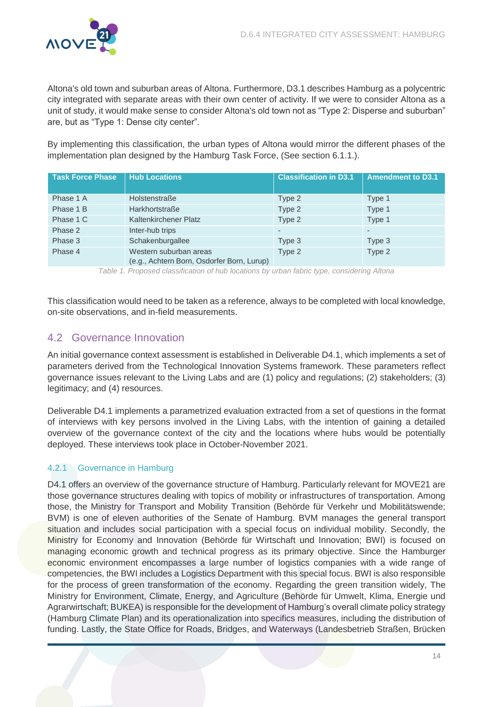

Altona's old town and suburban areas of Altona. Furthermore, D3.1 describes Hamburg as a polycentric city integrated with separate areas with their own center of activity. If we were to consider Altona as a unit of study, it would make sense to consider Altona's old town not as "Type 2: Disperse and suburban" are, but as "Type 1: Dense city center".

By implementing this classification, the urban types of Altona would mirror the different phases of the implementation plan designed by the Hamburg Task Force, (See section 6.1.1.).

| <b>Task Force Phase</b> | <b>Hub Locations</b>                                                 | <b>Classification in D3.1</b> | <b>Amendment to D3.1</b> |
|-------------------------|----------------------------------------------------------------------|-------------------------------|--------------------------|
| Phase 1 A               | Holstenstraße                                                        | Type 2                        | Type 1                   |
| Phase 1 B               | Harkhortstraße                                                       | Type 2                        | Type 1                   |
| Phase 1 C               | Kaltenkirchener Platz                                                | Type 2                        | Type 1                   |
| Phase 2                 | Inter-hub trips                                                      |                               | ٠                        |
| Phase 3                 | Schakenburgallee                                                     | Type 3                        | Type 3                   |
| Phase 4                 | Western suburban areas<br>(e.g., Achtern Born, Osdorfer Born, Lurup) | Type 2                        | Type 2                   |

Table 1. Proposed classification of hub locations by urban fabric type, considering Altona

<span id="page-14-2"></span>This classification would need to be taken as a reference, always to be completed with local knowledge, on-site observations, and in-field measurements.

# <span id="page-14-0"></span>4.2 Governance Innovation

An initial governance context assessment is established in Deliverable D4.1, which implements a set of parameters derived from the Technological Innovation Systems framework. These parameters reflect governance issues relevant to the Living Labs and are (1) policy and regulations; (2) stakeholders; (3) legitimacy; and (4) resources.

Deliverable D4.1 implements a parametrized evaluation extracted from a set of questions in the format of interviews with key persons involved in the Living Labs, with the intention of gaining a detailed overview of the governance context of the city and the locations where hubs would be potentially deployed. These interviews took place in October-November 2021.

# <span id="page-14-1"></span>4.2.1 Governance in Hamburg

D4.1 offers an overview of the governance structure of Hamburg. Particularly relevant for MOVE21 are those governance structures dealing with topics of mobility or infrastructures of transportation. Among those, the Ministry for Transport and Mobility Transition (Behörde für Verkehr und Mobilitätswende; BVM) is one of eleven authorities of the Senate of Hamburg. BVM manages the general transport situation and includes social participation with a special focus on individual mobility. Secondly, the Ministry for Economy and Innovation (Behörde für Wirtschaft und Innovation; BWI) is focused on managing economic growth and technical progress as its primary objective. Since the Hamburger economic environment encompasses a large number of logistics companies with a wide range of competencies, the BWI includes a Logistics Department with this special focus. BWI is also responsible for the process of green transformation of the economy. Regarding the green transition widely, The Ministry for Environment, Climate, Energy, and Agriculture (Behörde für Umwelt, Klima, Energie und Agrarwirtschaft; BUKEA) is responsible for the development of Hamburg's overall climate policy strategy (Hamburg Climate Plan) and its operationalization into specifics measures, including the distribution of funding. Lastly, the State Office for Roads, Bridges, and Waterways (Landesbetrieb Straßen, Brücken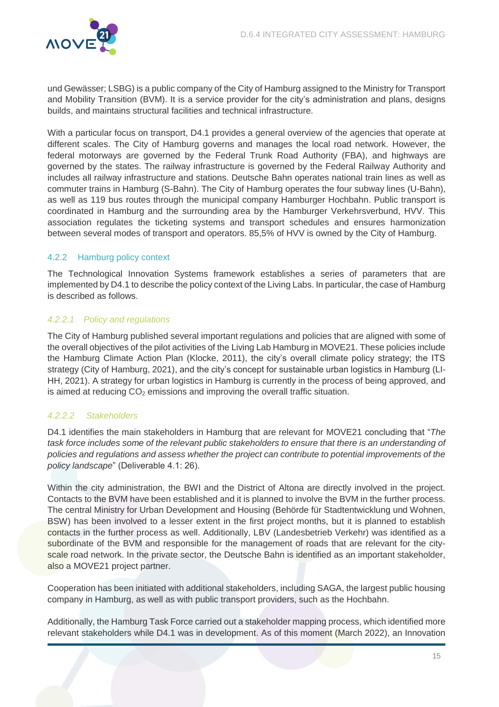

und Gewässer; LSBG) is a public company of the City of Hamburg assigned to the Ministry for Transport and Mobility Transition (BVM). It is a service provider for the city's administration and plans, designs builds, and maintains structural facilities and technical infrastructure.

With a particular focus on transport, D4.1 provides a general overview of the agencies that operate at different scales. The City of Hamburg governs and manages the local road network. However, the federal motorways are governed by the Federal Trunk Road Authority (FBA), and highways are governed by the states. The railway infrastructure is governed by the Federal Railway Authority and includes all railway infrastructure and stations. Deutsche Bahn operates national train lines as well as commuter trains in Hamburg (S-Bahn). The City of Hamburg operates the four subway lines (U-Bahn), as well as 119 bus routes through the municipal company Hamburger Hochbahn. Public transport is coordinated in Hamburg and the surrounding area by the Hamburger Verkehrsverbund, HVV. This association regulates the ticketing systems and transport schedules and ensures harmonization between several modes of transport and operators. 85,5% of HVV is owned by the City of Hamburg.

# <span id="page-15-0"></span>4.2.2 Hamburg policy context

The Technological Innovation Systems framework establishes a series of parameters that are implemented by D4.1 to describe the policy context of the Living Labs. In particular, the case of Hamburg is described as follows.

# 4.2.2.1 Policy and regulations

The City of Hamburg published several important regulations and policies that are aligned with some of the overall objectives of the pilot activities of the Living Lab Hamburg in MOVE21. These policies include the Hamburg Climate Action Plan (Klocke, 2011), the city's overall climate policy strategy; the ITS strategy (City of Hamburg, 2021), and the city's concept for sustainable urban logistics in Hamburg (LI-HH, 2021). A strategy for urban logistics in Hamburg is currently in the process of being approved, and is aimed at reducing  $CO<sub>2</sub>$  emissions and improving the overall traffic situation.

# 4.2.2.2 Stakeholders

D4.1 identifies the main stakeholders in Hamburg that are relevant for MOVE21 concluding that "The task force includes some of the relevant public stakeholders to ensure that there is an understanding of policies and regulations and assess whether the project can contribute to potential improvements of the policy landscape" (Deliverable 4.1: 26).

Within the city administration, the BWI and the District of Altona are directly involved in the project. Contacts to the BVM have been established and it is planned to involve the BVM in the further process. The central Ministry for Urban Development and Housing (Behörde für Stadtentwicklung und Wohnen, BSW) has been involved to a lesser extent in the first project months, but it is planned to establish contacts in the further process as well. Additionally, LBV (Landesbetrieb Verkehr) was identified as a subordinate of the BVM and responsible for the management of roads that are relevant for the cityscale road network. In the private sector, the Deutsche Bahn is identified as an important stakeholder, also a MOVE21 project partner.

Cooperation has been initiated with additional stakeholders, including SAGA, the largest public housing company in Hamburg, as well as with public transport providers, such as the Hochbahn.

Additionally, the Hamburg Task Force carried out a stakeholder mapping process, which identified more relevant stakeholders while D4.1 was in development. As of this moment (March 2022), an Innovation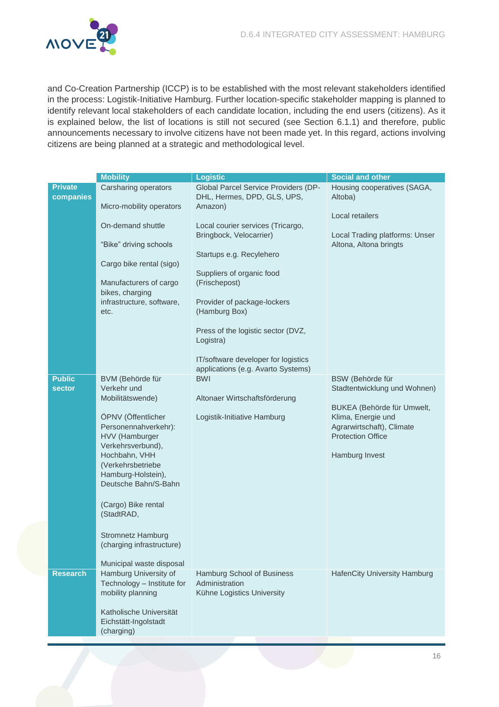

and Co-Creation Partnership (ICCP) is to be established with the most relevant stakeholders identified in the process: Logistik-Initiative Hamburg. Further location-specific stakeholder mapping is planned to identify relevant local stakeholders of each candidate location, including the end users (citizens). As it is explained below, the list of locations is still not secured (see Section 6.1.1) and therefore, public announcements necessary to involve citizens have not been made yet. In this regard, actions involving citizens are being planned at a strategic and methodological level.

|                                | <b>Mobility</b>                                                                                                                                                                                                                                                                                                                                        | <b>Logistic</b>                                                                                                                                                                                                                                                                                                        | <b>Social and other</b>                                                                                                                                                         |
|--------------------------------|--------------------------------------------------------------------------------------------------------------------------------------------------------------------------------------------------------------------------------------------------------------------------------------------------------------------------------------------------------|------------------------------------------------------------------------------------------------------------------------------------------------------------------------------------------------------------------------------------------------------------------------------------------------------------------------|---------------------------------------------------------------------------------------------------------------------------------------------------------------------------------|
| <b>Private</b><br>companies    | Carsharing operators<br>Micro-mobility operators                                                                                                                                                                                                                                                                                                       | Global Parcel Service Providers (DP-<br>DHL, Hermes, DPD, GLS, UPS,<br>Amazon)                                                                                                                                                                                                                                         | Housing cooperatives (SAGA,<br>Altoba)<br>Local retailers                                                                                                                       |
|                                | On-demand shuttle<br>"Bike" driving schools<br>Cargo bike rental (sigo)<br>Manufacturers of cargo<br>bikes, charging<br>infrastructure, software,<br>etc.                                                                                                                                                                                              | Local courier services (Tricargo,<br>Bringbock, Velocarrier)<br>Startups e.g. Recylehero<br>Suppliers of organic food<br>(Frischepost)<br>Provider of package-lockers<br>(Hamburg Box)<br>Press of the logistic sector (DVZ,<br>Logistra)<br>IT/software developer for logistics<br>applications (e.g. Avarto Systems) | Local Trading platforms: Unser<br>Altona, Altona bringts                                                                                                                        |
| <b>Public</b><br><b>sector</b> | BVM (Behörde für<br>Verkehr und<br>Mobilitätswende)<br>ÖPNV (Öffentlicher<br>Personennahverkehr):<br>HVV (Hamburger<br>Verkehrsverbund),<br>Hochbahn, VHH<br>(Verkehrsbetriebe<br>Hamburg-Holstein),<br>Deutsche Bahn/S-Bahn<br>(Cargo) Bike rental<br>(StadtRAD,<br><b>Stromnetz Hamburg</b><br>(charging infrastructure)<br>Municipal waste disposal | <b>BWI</b><br>Altonaer Wirtschaftsförderung<br>Logistik-Initiative Hamburg                                                                                                                                                                                                                                             | BSW (Behörde für<br>Stadtentwicklung und Wohnen)<br>BUKEA (Behörde für Umwelt,<br>Klima, Energie und<br>Agrarwirtschaft), Climate<br><b>Protection Office</b><br>Hamburg Invest |
| <b>Research</b>                | Hamburg University of<br>Technology - Institute for<br>mobility planning<br>Katholische Universität<br>Eichstätt-Ingolstadt<br>(charging)                                                                                                                                                                                                              | Hamburg School of Business<br>Administration<br>Kühne Logistics University                                                                                                                                                                                                                                             | <b>HafenCity University Hamburg</b>                                                                                                                                             |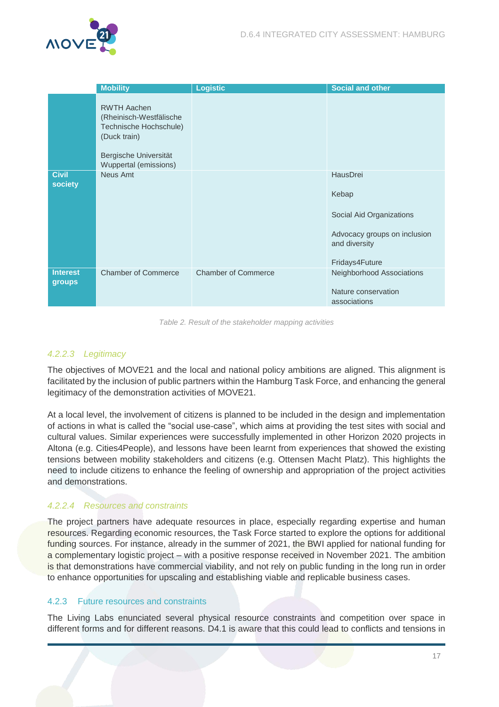

|                                  | <b>Mobility</b>                                                                                                                           | <b>Logistic</b>            | <b>Social and other</b>                                                                                          |
|----------------------------------|-------------------------------------------------------------------------------------------------------------------------------------------|----------------------------|------------------------------------------------------------------------------------------------------------------|
|                                  | <b>RWTH Aachen</b><br>(Rheinisch-Westfälische<br>Technische Hochschule)<br>(Duck train)<br>Bergische Universität<br>Wuppertal (emissions) |                            |                                                                                                                  |
| <b>Civil</b><br>society          | Neus Amt                                                                                                                                  |                            | HausDrei<br>Kebap<br>Social Aid Organizations<br>Advocacy groups on inclusion<br>and diversity<br>Fridays4Future |
| <b>Interest</b><br><b>groups</b> | <b>Chamber of Commerce</b>                                                                                                                | <b>Chamber of Commerce</b> | Neighborhood Associations<br>Nature conservation<br>associations                                                 |

Table 2. Result of the stakeholder mapping activities

### <span id="page-17-1"></span>4.2.2.3 Legitimacy

The objectives of MOVE21 and the local and national policy ambitions are aligned. This alignment is facilitated by the inclusion of public partners within the Hamburg Task Force, and enhancing the general legitimacy of the demonstration activities of MOVE21.

At a local level, the involvement of citizens is planned to be included in the design and implementation of actions in what is called the "social use-case", which aims at providing the test sites with social and cultural values. Similar experiences were successfully implemented in other Horizon 2020 projects in Altona (e.g. Cities4People), and lessons have been learnt from experiences that showed the existing tensions between mobility stakeholders and citizens (e.g. Ottensen Macht Platz). This highlights the need to include citizens to enhance the feeling of ownership and appropriation of the project activities and demonstrations.

#### 4.2.2.4 Resources and constraints

The project partners have adequate resources in place, especially regarding expertise and human resources. Regarding economic resources, the Task Force started to explore the options for additional funding sources. For instance, already in the summer of 2021, the BWI applied for national funding for a complementary logistic project – with a positive response received in November 2021. The ambition is that demonstrations have commercial viability, and not rely on public funding in the long run in order to enhance opportunities for upscaling and establishing viable and replicable business cases.

### <span id="page-17-0"></span>4.2.3 Future resources and constraints

The Living Labs enunciated several physical resource constraints and competition over space in different forms and for different reasons. D4.1 is aware that this could lead to conflicts and tensions in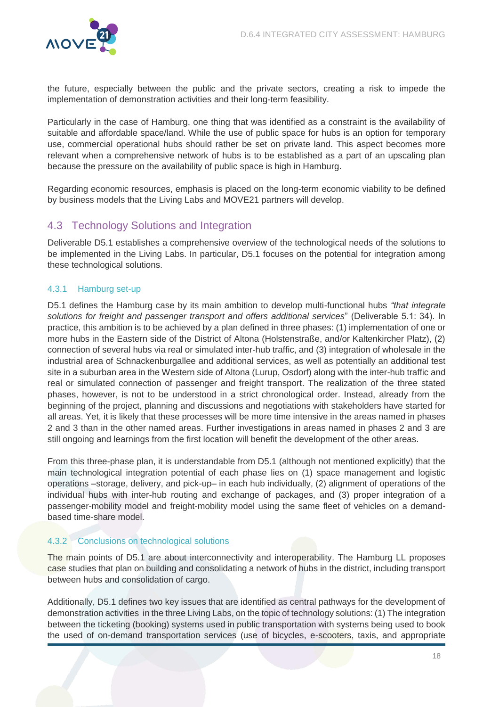

the future, especially between the public and the private sectors, creating a risk to impede the implementation of demonstration activities and their long-term feasibility.

Particularly in the case of Hamburg, one thing that was identified as a constraint is the availability of suitable and affordable space/land. While the use of public space for hubs is an option for temporary use, commercial operational hubs should rather be set on private land. This aspect becomes more relevant when a comprehensive network of hubs is to be established as a part of an upscaling plan because the pressure on the availability of public space is high in Hamburg.

Regarding economic resources, emphasis is placed on the long-term economic viability to be defined by business models that the Living Labs and MOVE21 partners will develop.

# <span id="page-18-0"></span>4.3 Technology Solutions and Integration

Deliverable D5.1 establishes a comprehensive overview of the technological needs of the solutions to be implemented in the Living Labs. In particular, D5.1 focuses on the potential for integration among these technological solutions.

# <span id="page-18-1"></span>4.3.1 Hamburg set-up

D5.1 defines the Hamburg case by its main ambition to develop multi-functional hubs *"that integrate*  solutions for freight and passenger transport and offers additional services" (Deliverable 5.1: 34). In practice, this ambition is to be achieved by a plan defined in three phases: (1) implementation of one or more hubs in the Eastern side of the District of Altona (Holstenstraße, and/or Kaltenkircher Platz), (2) connection of several hubs via real or simulated inter-hub traffic, and (3) integration of wholesale in the industrial area of Schnackenburgallee and additional services, as well as potentially an additional test site in a suburban area in the Western side of Altona (Lurup, Osdorf) along with the inter-hub traffic and real or simulated connection of passenger and freight transport. The realization of the three stated phases, however, is not to be understood in a strict chronological order. Instead, already from the beginning of the project, planning and discussions and negotiations with stakeholders have started for all areas. Yet, it is likely that these processes will be more time intensive in the areas named in phases 2 and 3 than in the other named areas. Further investigations in areas named in phases 2 and 3 are still ongoing and learnings from the first location will benefit the development of the other areas.

From this three-phase plan, it is understandable from D5.1 (although not mentioned explicitly) that the main technological integration potential of each phase lies on (1) space management and logistic operations –storage, delivery, and pick-up– in each hub individually, (2) alignment of operations of the individual hubs with inter-hub routing and exchange of packages, and (3) proper integration of a passenger-mobility model and freight-mobility model using the same fleet of vehicles on a demandbased time-share model.

# <span id="page-18-2"></span>4.3.2 Conclusions on technological solutions

The main points of D5.1 are about interconnectivity and interoperability. The Hamburg LL proposes case studies that plan on building and consolidating a network of hubs in the district, including transport between hubs and consolidation of cargo.

Additionally, D5.1 defines two key issues that are identified as central pathways for the development of demonstration activities in the three Living Labs, on the topic of technology solutions: (1) The integration between the ticketing (booking) systems used in public transportation with systems being used to book the used of on-demand transportation services (use of bicycles, e-scooters, taxis, and appropriate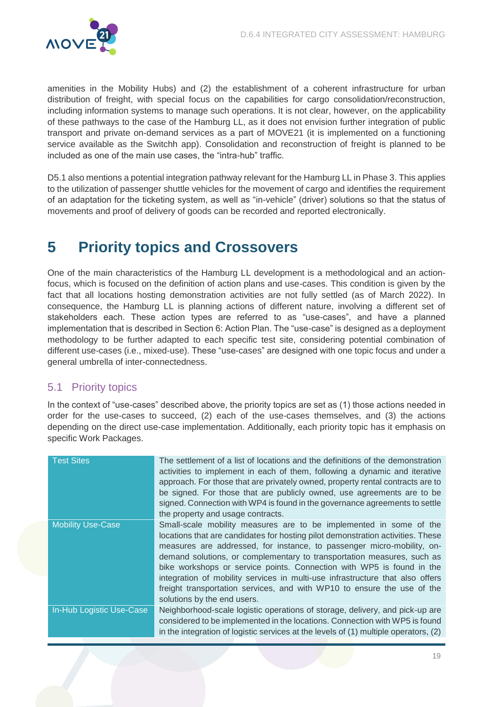

amenities in the Mobility Hubs) and (2) the establishment of a coherent infrastructure for urban distribution of freight, with special focus on the capabilities for cargo consolidation/reconstruction, including information systems to manage such operations. It is not clear, however, on the applicability of these pathways to the case of the Hamburg LL, as it does not envision further integration of public transport and private on-demand services as a part of MOVE21 (it is implemented on a functioning service available as the Switchh app). Consolidation and reconstruction of freight is planned to be included as one of the main use cases, the "intra-hub" traffic.

D5.1 also mentions a potential integration pathway relevant for the Hamburg LL in Phase 3. This applies to the utilization of passenger shuttle vehicles for the movement of cargo and identifies the requirement of an adaptation for the ticketing system, as well as "in-vehicle" (driver) solutions so that the status of movements and proof of delivery of goods can be recorded and reported electronically.

# <span id="page-19-0"></span>**5 Priority topics and Crossovers**

One of the main characteristics of the Hamburg LL development is a methodological and an actionfocus, which is focused on the definition of action plans and use-cases. This condition is given by the fact that all locations hosting demonstration activities are not fully settled (as of March 2022). In consequence, the Hamburg LL is planning actions of different nature, involving a different set of stakeholders each. These action types are referred to as "use-cases", and have a planned implementation that is described in Section 6: Action Plan. The "use-case" is designed as a deployment methodology to be further adapted to each specific test site, considering potential combination of different use-cases (i.e., mixed-use). These "use-cases" are designed with one topic focus and under a general umbrella of inter-connectedness.

# <span id="page-19-1"></span>5.1 Priority topics

In the context of "use-cases" described above, the priority topics are set as (1) those actions needed in order for the use-cases to succeed, (2) each of the use-cases themselves, and (3) the actions depending on the direct use-case implementation. Additionally, each priority topic has it emphasis on specific Work Packages.

| The settlement of a list of locations and the definitions of the demonstration<br>activities to implement in each of them, following a dynamic and iterative<br>approach. For those that are privately owned, property rental contracts are to<br>be signed. For those that are publicly owned, use agreements are to be<br>signed. Connection with WP4 is found in the governance agreements to settle<br>the property and usage contracts.                                                                                                                                  |
|-------------------------------------------------------------------------------------------------------------------------------------------------------------------------------------------------------------------------------------------------------------------------------------------------------------------------------------------------------------------------------------------------------------------------------------------------------------------------------------------------------------------------------------------------------------------------------|
|                                                                                                                                                                                                                                                                                                                                                                                                                                                                                                                                                                               |
| Small-scale mobility measures are to be implemented in some of the<br>locations that are candidates for hosting pilot demonstration activities. These<br>measures are addressed, for instance, to passenger micro-mobility, on-<br>demand solutions, or complementary to transportation measures, such as<br>bike workshops or service points. Connection with WP5 is found in the<br>integration of mobility services in multi-use infrastructure that also offers<br>freight transportation services, and with WP10 to ensure the use of the<br>solutions by the end users. |
| Neighborhood-scale logistic operations of storage, delivery, and pick-up are<br>considered to be implemented in the locations. Connection with WP5 is found<br>in the integration of logistic services at the levels of (1) multiple operators, (2)                                                                                                                                                                                                                                                                                                                           |
|                                                                                                                                                                                                                                                                                                                                                                                                                                                                                                                                                                               |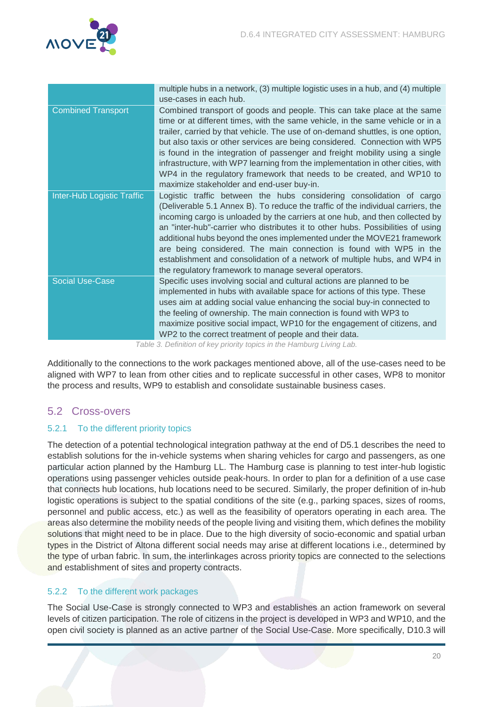

|                            | multiple hubs in a network, (3) multiple logistic uses in a hub, and (4) multiple<br>use-cases in each hub.                                                                                                                                                                                                                                                                                                                                                                                                                                                                                                         |
|----------------------------|---------------------------------------------------------------------------------------------------------------------------------------------------------------------------------------------------------------------------------------------------------------------------------------------------------------------------------------------------------------------------------------------------------------------------------------------------------------------------------------------------------------------------------------------------------------------------------------------------------------------|
| <b>Combined Transport</b>  | Combined transport of goods and people. This can take place at the same<br>time or at different times, with the same vehicle, in the same vehicle or in a<br>trailer, carried by that vehicle. The use of on-demand shuttles, is one option,<br>but also taxis or other services are being considered. Connection with WP5<br>is found in the integration of passenger and freight mobility using a single<br>infrastructure, with WP7 learning from the implementation in other cities, with<br>WP4 in the regulatory framework that needs to be created, and WP10 to<br>maximize stakeholder and end-user buy-in. |
| Inter-Hub Logistic Traffic | Logistic traffic between the hubs considering consolidation of cargo<br>(Deliverable 5.1 Annex B). To reduce the traffic of the individual carriers, the<br>incoming cargo is unloaded by the carriers at one hub, and then collected by<br>an "inter-hub"-carrier who distributes it to other hubs. Possibilities of using<br>additional hubs beyond the ones implemented under the MOVE21 framework<br>are being considered. The main connection is found with WP5 in the<br>establishment and consolidation of a network of multiple hubs, and WP4 in<br>the regulatory framework to manage several operators.   |
| <b>Social Use-Case</b>     | Specific uses involving social and cultural actions are planned to be<br>implemented in hubs with available space for actions of this type. These<br>uses aim at adding social value enhancing the social buy-in connected to<br>the feeling of ownership. The main connection is found with WP3 to<br>maximize positive social impact, WP10 for the engagement of citizens, and<br>WP2 to the correct treatment of people and their data.                                                                                                                                                                          |

Table 3. Definition of key priority topics in the Hamburg Living Lab.

<span id="page-20-3"></span>Additionally to the connections to the work packages mentioned above, all of the use-cases need to be aligned with WP7 to lean from other cities and to replicate successful in other cases, WP8 to monitor the process and results, WP9 to establish and consolidate sustainable business cases.

# <span id="page-20-0"></span>5.2 Cross-overs

# <span id="page-20-1"></span>5.2.1 To the different priority topics

The detection of a potential technological integration pathway at the end of D5.1 describes the need to establish solutions for the in-vehicle systems when sharing vehicles for cargo and passengers, as one particular action planned by the Hamburg LL. The Hamburg case is planning to test inter-hub logistic operations using passenger vehicles outside peak-hours. In order to plan for a definition of a use case that connects hub locations, hub locations need to be secured. Similarly, the proper definition of in-hub logistic operations is subject to the spatial conditions of the site (e.g., parking spaces, sizes of rooms, personnel and public access, etc.) as well as the feasibility of operators operating in each area. The areas also determine the mobility needs of the people living and visiting them, which defines the mobility solutions that might need to be in place. Due to the high diversity of socio-economic and spatial urban types in the District of Altona different social needs may arise at different locations i.e., determined by the type of urban fabric. In sum, the interlinkages across priority topics are connected to the selections and establishment of sites and property contracts.

# <span id="page-20-2"></span>5.2.2 To the different work packages

The Social Use-Case is strongly connected to WP3 and establishes an action framework on several levels of citizen participation. The role of citizens in the project is developed in WP3 and WP10, and the open civil society is planned as an active partner of the Social Use-Case. More specifically, D10.3 will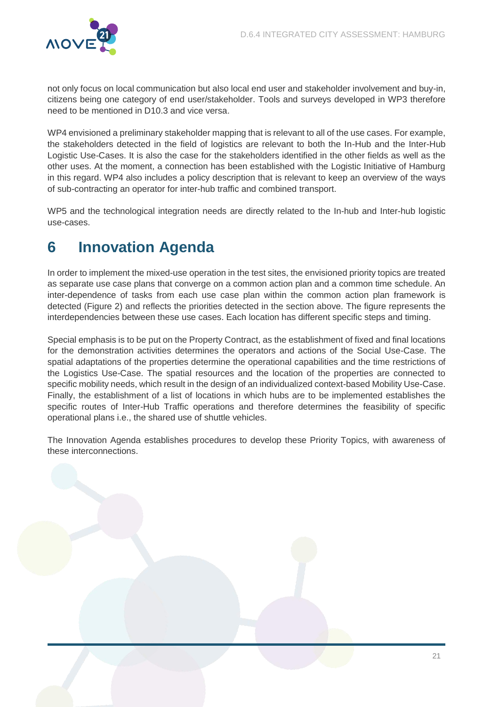

not only focus on local communication but also local end user and stakeholder involvement and buy-in, citizens being one category of end user/stakeholder. Tools and surveys developed in WP3 therefore need to be mentioned in D10.3 and vice versa.

WP4 envisioned a preliminary stakeholder mapping that is relevant to all of the use cases. For example, the stakeholders detected in the field of logistics are relevant to both the In-Hub and the Inter-Hub Logistic Use-Cases. It is also the case for the stakeholders identified in the other fields as well as the other uses. At the moment, a connection has been established with the Logistic Initiative of Hamburg in this regard. WP4 also includes a policy description that is relevant to keep an overview of the ways of sub-contracting an operator for inter-hub traffic and combined transport.

WP5 and the technological integration needs are directly related to the In-hub and Inter-hub logistic use-cases.

# <span id="page-21-0"></span>**6 Innovation Agenda**

In order to implement the mixed-use operation in the test sites, the envisioned priority topics are treated as separate use case plans that converge on a common action plan and a common time schedule. An inter-dependence of tasks from each use case plan within the common action plan framework is detected (Figure 2) and reflects the priorities detected in the section above. The figure represents the interdependencies between these use cases. Each location has different specific steps and timing.

Special emphasis is to be put on the Property Contract, as the establishment of fixed and final locations for the demonstration activities determines the operators and actions of the Social Use-Case. The spatial adaptations of the properties determine the operational capabilities and the time restrictions of the Logistics Use-Case. The spatial resources and the location of the properties are connected to specific mobility needs, which result in the design of an individualized context-based Mobility Use-Case. Finally, the establishment of a list of locations in which hubs are to be implemented establishes the specific routes of Inter-Hub Traffic operations and therefore determines the feasibility of specific operational plans i.e., the shared use of shuttle vehicles.

The Innovation Agenda establishes procedures to develop these Priority Topics, with awareness of these interconnections.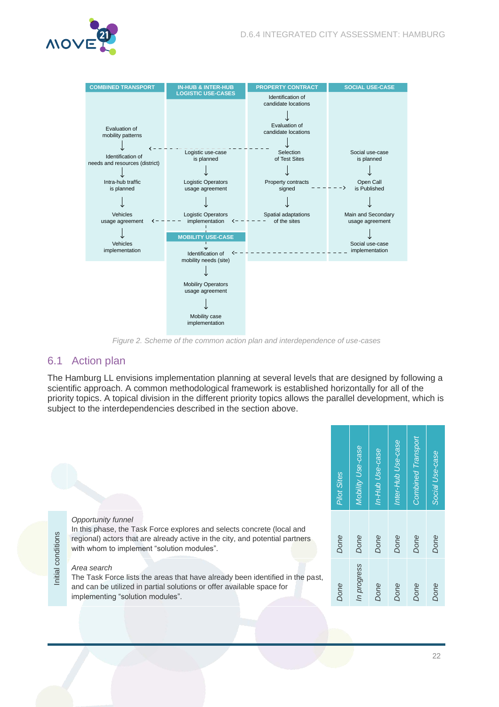



Figure 2. Scheme of the common action plan and interdependence of use-cases

# <span id="page-22-1"></span><span id="page-22-0"></span>6.1 Action plan

The Hamburg LL envisions implementation planning at several levels that are designed by following a scientific approach. A common methodological framework is established horizontally for all of the priority topics. A topical division in the different priority topics allows the parallel development, which is subject to the interdependencies described in the section above.

| <b>Pilot Sites</b> | Mobility Use-case | In-Hub Use-case | Inter-Hub Use-case | <b>Combined Transport</b> | Social Use-case |
|--------------------|-------------------|-----------------|--------------------|---------------------------|-----------------|
| Done               | Done              | Done            | Done               | Done                      | Done            |
| Done               | In progress       | Done            | Done               | Done                      | Done            |

#### Opportunity funnel

In this phase, the Task Force explores and selects concrete (local and regional) actors that are already active in the city, and potential partners with whom to implement "solution modules".

#### Area search

Initial conditions

Initial conditions

The Task Force lists the areas that have already been identified in the past, and can be utilized in partial solutions or offer available space for implementing "solution modules".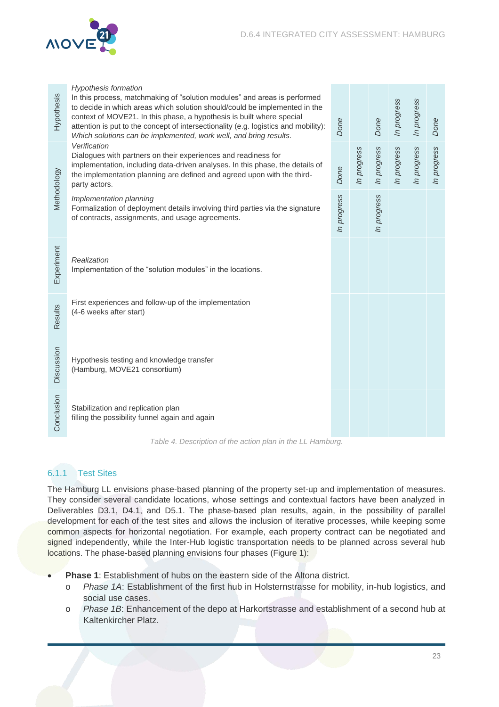

| Hypothesis                                                 | <b>Hypothesis formation</b><br>In this process, matchmaking of "solution modules" and areas is performed<br>to decide in which areas which solution should/could be implemented in the<br>context of MOVE21. In this phase, a hypothesis is built where special<br>attention is put to the concept of intersectionality (e.g. logistics and mobility):<br>Which solutions can be implemented, work well, and bring results.<br>Verification<br>Dialogues with partners on their experiences and readiness for<br>implementation, including data-driven analyses. In this phase, the details of<br>the implementation planning are defined and agreed upon with the third-<br>party actors. |             |             | Done        | In progress | In progress | Done        |
|------------------------------------------------------------|--------------------------------------------------------------------------------------------------------------------------------------------------------------------------------------------------------------------------------------------------------------------------------------------------------------------------------------------------------------------------------------------------------------------------------------------------------------------------------------------------------------------------------------------------------------------------------------------------------------------------------------------------------------------------------------------|-------------|-------------|-------------|-------------|-------------|-------------|
| Methodology                                                |                                                                                                                                                                                                                                                                                                                                                                                                                                                                                                                                                                                                                                                                                            |             | In progress | In progress | In progress | In progress | In progress |
|                                                            | Implementation planning<br>Formalization of deployment details involving third parties via the signature<br>of contracts, assignments, and usage agreements.                                                                                                                                                                                                                                                                                                                                                                                                                                                                                                                               | In progress |             | In progress |             |             |             |
| Experiment                                                 | Realization<br>Implementation of the "solution modules" in the locations.                                                                                                                                                                                                                                                                                                                                                                                                                                                                                                                                                                                                                  |             |             |             |             |             |             |
| Results                                                    | First experiences and follow-up of the implementation<br>(4-6 weeks after start)                                                                                                                                                                                                                                                                                                                                                                                                                                                                                                                                                                                                           |             |             |             |             |             |             |
| Discussion                                                 | Hypothesis testing and knowledge transfer<br>(Hamburg, MOVE21 consortium)                                                                                                                                                                                                                                                                                                                                                                                                                                                                                                                                                                                                                  |             |             |             |             |             |             |
| Conclusion                                                 | Stabilization and replication plan<br>filling the possibility funnel again and again                                                                                                                                                                                                                                                                                                                                                                                                                                                                                                                                                                                                       |             |             |             |             |             |             |
| Table 4. Description of the action plan in the LL Hamburg. |                                                                                                                                                                                                                                                                                                                                                                                                                                                                                                                                                                                                                                                                                            |             |             |             |             |             |             |

# <span id="page-23-1"></span><span id="page-23-0"></span>6.1.1 Test Sites

The Hamburg LL envisions phase-based planning of the property set-up and implementation of measures. They consider several candidate locations, whose settings and contextual factors have been analyzed in Deliverables D3.1, D4.1, and D5.1. The phase-based plan results, again, in the possibility of parallel development for each of the test sites and allows the inclusion of iterative processes, while keeping some common aspects for horizontal negotiation. For example, each property contract can be negotiated and signed independently, while the Inter-Hub logistic transportation needs to be planned across several hub locations. The phase-based planning envisions four phases (Figure 1):

**Phase 1**: Establishment of hubs on the eastern side of the Altona district.

- o Phase 1A: Establishment of the first hub in Holsternstrasse for mobility, in-hub logistics, and social use cases.
- o Phase 1B: Enhancement of the depo at Harkortstrasse and establishment of a second hub at Kaltenkircher Platz.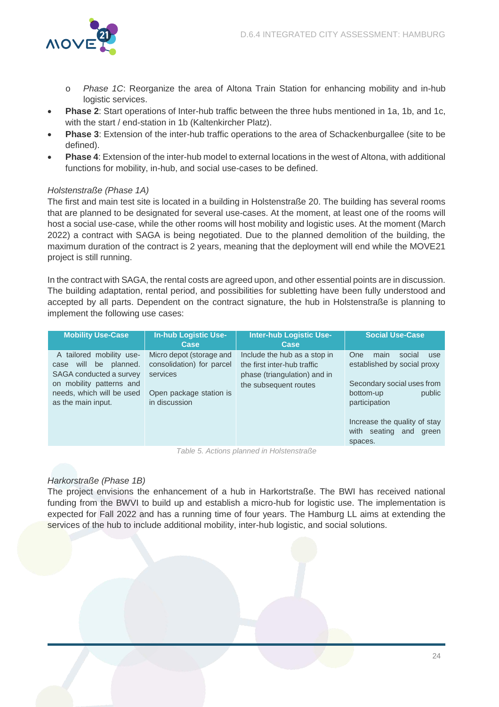

- o Phase 1C: Reorganize the area of Altona Train Station for enhancing mobility and in-hub logistic services.
- **Phase 2**: Start operations of Inter-hub traffic between the three hubs mentioned in 1a, 1b, and 1c, with the start / end-station in 1b (Kaltenkircher Platz).
- **Phase 3**: Extension of the inter-hub traffic operations to the area of Schackenburgallee (site to be defined).
- **Phase 4**: Extension of the inter-hub model to external locations in the west of Altona, with additional functions for mobility, in-hub, and social use-cases to be defined.

# Holstenstraße (Phase 1A)

The first and main test site is located in a building in Holstenstraße 20. The building has several rooms that are planned to be designated for several use-cases. At the moment, at least one of the rooms will host a social use-case, while the other rooms will host mobility and logistic uses. At the moment (March 2022) a contract with SAGA is being negotiated. Due to the planned demolition of the building, the maximum duration of the contract is 2 years, meaning that the deployment will end while the MOVE21 project is still running.

In the contract with SAGA, the rental costs are agreed upon, and other essential points are in discussion. The building adaptation, rental period, and possibilities for subletting have been fully understood and accepted by all parts. Dependent on the contract signature, the hub in Holstenstraße is planning to implement the following use cases:

| <b>Mobility Use-Case</b>                                                                                                                                       | <b>In-hub Logistic Use-</b><br><b>Case</b>                                                                    | Inter-hub Logistic Use-<br>Case                                                                                      | <b>Social Use-Case</b>                                                                                                            |
|----------------------------------------------------------------------------------------------------------------------------------------------------------------|---------------------------------------------------------------------------------------------------------------|----------------------------------------------------------------------------------------------------------------------|-----------------------------------------------------------------------------------------------------------------------------------|
| A tailored mobility use-<br>will be planned.<br>case<br>SAGA conducted a survey<br>on mobility patterns and<br>needs, which will be used<br>as the main input. | Micro depot (storage and<br>consolidation) for parcel<br>services<br>Open package station is<br>in discussion | Include the hub as a stop in<br>the first inter-hub traffic<br>phase (triangulation) and in<br>the subsequent routes | One<br>social<br>main<br>use<br>established by social proxy<br>Secondary social uses from<br>public<br>bottom-up<br>participation |
|                                                                                                                                                                |                                                                                                               |                                                                                                                      | Increase the quality of stay<br>seating<br>and<br>with<br>green<br>spaces.                                                        |

Table 5. Actions planned in Holstenstraße

# <span id="page-24-0"></span>Harkorstraße (Phase 1B)

The project envisions the enhancement of a hub in Harkortstraße. The BWI has received national funding from the BWVI to build up and establish a micro-hub for logistic use. The implementation is expected for Fall 2022 and has a running time of four years. The Hamburg LL aims at extending the services of the hub to include additional mobility, inter-hub logistic, and social solutions.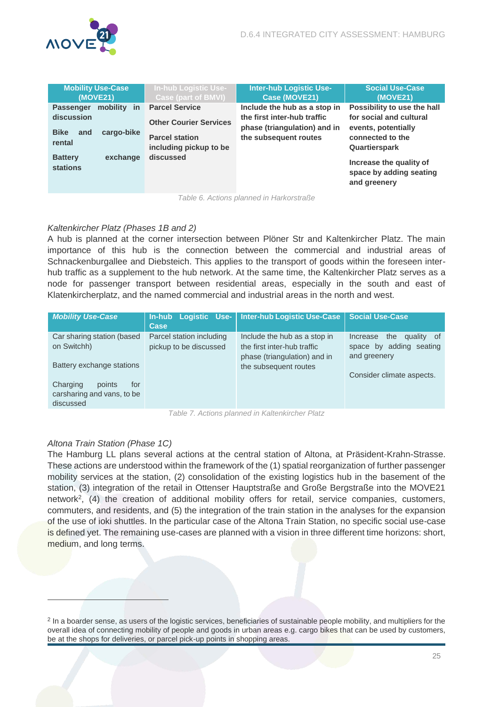| <b>Mobility Use-Case</b><br>(MOVE21)                                                                  | <b>In-hub Logistic Use-</b><br><b>Case (part of BMVI)</b>                                                 | <b>Inter-hub Logistic Use-</b><br>Case (MOVE21)                                                                      | <b>Social Use-Case</b><br>(MOVE21)                                                                                 |
|-------------------------------------------------------------------------------------------------------|-----------------------------------------------------------------------------------------------------------|----------------------------------------------------------------------------------------------------------------------|--------------------------------------------------------------------------------------------------------------------|
| mobility<br><b>Passenger</b><br><b>in</b><br>discussion<br><b>Bike</b><br>cargo-bike<br>and<br>rental | <b>Parcel Service</b><br><b>Other Courier Services</b><br><b>Parcel station</b><br>including pickup to be | Include the hub as a stop in<br>the first inter-hub traffic<br>phase (triangulation) and in<br>the subsequent routes | Possibility to use the hall<br>for social and cultural<br>events, potentially<br>connected to the<br>Quartierspark |
| exchange<br><b>Battery</b><br>stations                                                                | discussed                                                                                                 |                                                                                                                      | Increase the quality of<br>space by adding seating<br>and greenery                                                 |
|                                                                                                       |                                                                                                           | Table 6. Actions planned in Harkorstraße                                                                             |                                                                                                                    |

#### <span id="page-25-0"></span>Kaltenkircher Platz (Phases 1B and 2)

A hub is planned at the corner intersection between Plöner Str and Kaltenkircher Platz. The main importance of this hub is the connection between the commercial and industrial areas of Schnackenburgallee and Diebsteich. This applies to the transport of goods within the foreseen interhub traffic as a supplement to the hub network. At the same time, the Kaltenkircher Platz serves as a node for passenger transport between residential areas, especially in the south and east of Klatenkircherplatz, and the named commercial and industrial areas in the north and west.

| <b>Mobility Use-Case</b>                                                                            | <b>In-hub Logistic Use-</b><br>Case                | <b>Inter-hub Logistic Use-Case</b>                                                                                   | <b>Social Use-Case</b>                                                                                |  |
|-----------------------------------------------------------------------------------------------------|----------------------------------------------------|----------------------------------------------------------------------------------------------------------------------|-------------------------------------------------------------------------------------------------------|--|
| Car sharing station (based<br>on Switchh)<br>Battery exchange stations<br>Charging<br>points<br>for | Parcel station including<br>pickup to be discussed | Include the hub as a stop in<br>the first inter-hub traffic<br>phase (triangulation) and in<br>the subsequent routes | the<br>quality of<br>Increase<br>space by adding seating<br>and greenery<br>Consider climate aspects. |  |
| carsharing and vans, to be<br>discussed                                                             |                                                    |                                                                                                                      |                                                                                                       |  |
|                                                                                                     | Table 7 Actions planned in Kaltenkircher Platz     |                                                                                                                      |                                                                                                       |  |

Table 7. Actions planned in Kaltenkircher Platz

# <span id="page-25-1"></span>Altona Train Station (Phase 1C)

 $\overline{a}$ 

The Hamburg LL plans several actions at the central station of Altona, at Präsident-Krahn-Strasse. These actions are understood within the framework of the (1) spatial reorganization of further passenger mobility services at the station, (2) consolidation of the existing logistics hub in the basement of the station, (3) integration of the retail in Ottenser Hauptstraße and Große Bergstraße into the MOVE21 network<sup>2</sup> , (4) the creation of additional mobility offers for retail, service companies, customers, commuters, and residents, and (5) the integration of the train station in the analyses for the expansion of the use of ioki shuttles. In the particular case of the Altona Train Station, no specific social use-case is defined yet. The remaining use-cases are planned with a vision in three different time horizons: short, medium, and long terms.

<sup>&</sup>lt;sup>2</sup> In a boarder sense, as users of the logistic services, beneficiaries of sustainable people mobility, and multipliers for the overall idea of connecting mobility of people and goods in urban areas e.g. cargo bikes that can be used by customers, be at the shops for deliveries, or parcel pick-up points in shopping areas.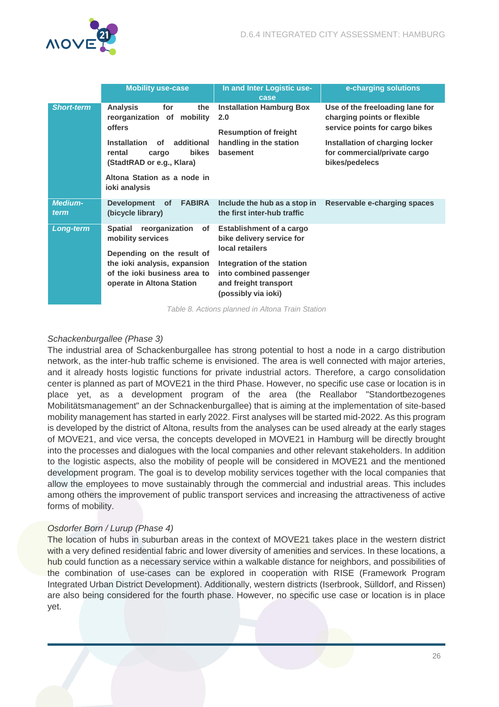

|                        | <b>Mobility use-case</b>                                                                                | In and Inter Logistic use-<br>case                                                                    | e-charging solutions                                                                             |
|------------------------|---------------------------------------------------------------------------------------------------------|-------------------------------------------------------------------------------------------------------|--------------------------------------------------------------------------------------------------|
| <b>Short-term</b>      | <b>Analysis</b><br>for<br>the<br>reorganization of<br>mobility<br><b>offers</b>                         | <b>Installation Hamburg Box</b><br>2.0<br><b>Resumption of freight</b>                                | Use of the freeloading lane for<br>charging points or flexible<br>service points for cargo bikes |
|                        | <b>Installation</b><br>additional<br>οf<br><b>bikes</b><br>rental<br>cargo<br>(StadtRAD or e.g., Klara) | handling in the station<br>basement                                                                   | Installation of charging locker<br>for commercial/private cargo<br>bikes/pedelecs                |
|                        | Altona Station as a node in<br>ioki analysis                                                            |                                                                                                       |                                                                                                  |
| <b>Medium-</b><br>term | Development of<br><b>FABIRA</b><br>(bicycle library)                                                    | Include the hub as a stop in<br>the first inter-hub traffic                                           | Reservable e-charging spaces                                                                     |
| <b>Long-term</b>       | reorganization<br><b>Spatial</b><br>of<br>mobility services<br>Depending on the result of               | <b>Establishment of a cargo</b><br>bike delivery service for<br>local retailers                       |                                                                                                  |
|                        | the ioki analysis, expansion<br>of the joki business area to<br>operate in Altona Station               | Integration of the station<br>into combined passenger<br>and freight transport<br>(possibly via ioki) |                                                                                                  |

Table 8. Actions planned in Altona Train Station

#### <span id="page-26-0"></span>Schackenburgallee (Phase 3)

The industrial area of Schackenburgallee has strong potential to host a node in a cargo distribution network, as the inter-hub traffic scheme is envisioned. The area is well connected with major arteries, and it already hosts logistic functions for private industrial actors. Therefore, a cargo consolidation center is planned as part of MOVE21 in the third Phase. However, no specific use case or location is in place yet, as a development program of the area (the Reallabor "Standortbezogenes Mobilitätsmanagement" an der Schnackenburgallee) that is aiming at the implementation of site-based mobility management has started in early 2022. First analyses will be started mid-2022. As this program is developed by the district of Altona, results from the analyses can be used already at the early stages of MOVE21, and vice versa, the concepts developed in MOVE21 in Hamburg will be directly brought into the processes and dialogues with the local companies and other relevant stakeholders. In addition to the logistic aspects, also the mobility of people will be considered in MOVE21 and the mentioned development program. The goal is to develop mobility services together with the local companies that allow the employees to move sustainably through the commercial and industrial areas. This includes among others the improvement of public transport services and increasing the attractiveness of active forms of mobility.

#### Osdorfer Born / Lurup (Phase 4)

The location of hubs in suburban areas in the context of MOVE21 takes place in the western district with a very defined residential fabric and lower diversity of amenities and services. In these locations, a hub could function as a necessary service within a walkable distance for neighbors, and possibilities of the combination of use-cases can be explored in cooperation with RISE (Framework Program Integrated Urban District Development). Additionally, western districts (Iserbrook, Sülldorf, and Rissen) are also being considered for the fourth phase. However, no specific use case or location is in place yet.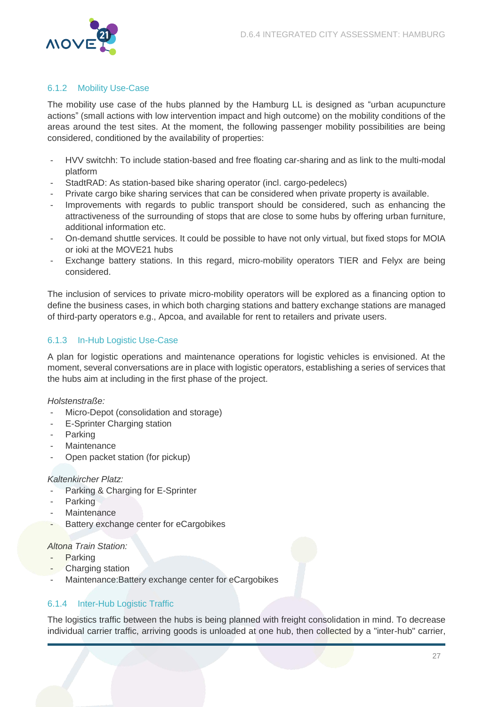

# <span id="page-27-0"></span>6.1.2 Mobility Use-Case

The mobility use case of the hubs planned by the Hamburg LL is designed as "urban acupuncture actions" (small actions with low intervention impact and high outcome) on the mobility conditions of the areas around the test sites. At the moment, the following passenger mobility possibilities are being considered, conditioned by the availability of properties:

- HVV switchh: To include station-based and free floating car-sharing and as link to the multi-modal platform
- StadtRAD: As station-based bike sharing operator (incl. cargo-pedelecs)
- Private cargo bike sharing services that can be considered when private property is available.
- Improvements with regards to public transport should be considered, such as enhancing the attractiveness of the surrounding of stops that are close to some hubs by offering urban furniture, additional information etc.
- On-demand shuttle services. It could be possible to have not only virtual, but fixed stops for MOIA or ioki at the MOVE21 hubs
- Exchange battery stations. In this regard, micro-mobility operators TIER and Felyx are being considered.

The inclusion of services to private micro-mobility operators will be explored as a financing option to define the business cases, in which both charging stations and battery exchange stations are managed of third-party operators e.g., Apcoa, and available for rent to retailers and private users.

# <span id="page-27-1"></span>6.1.3 In-Hub Logistic Use-Case

A plan for logistic operations and maintenance operations for logistic vehicles is envisioned. At the moment, several conversations are in place with logistic operators, establishing a series of services that the hubs aim at including in the first phase of the project.

#### Holstenstraße:

- Micro-Depot (consolidation and storage)
- E-Sprinter Charging station
- **Parking**
- **Maintenance**
- Open packet station (for pickup)

#### Kaltenkircher Platz:

- Parking & Charging for E-Sprinter
- **Parking**
- **Maintenance**
- Battery exchange center for eCargobikes

#### Altona Train Station:

- **Parking**
- **Charging station**
- Maintenance: Battery exchange center for eCargobikes

# <span id="page-27-2"></span>6.1.4 Inter-Hub Logistic Traffic

The logistics traffic between the hubs is being planned with freight consolidation in mind. To decrease individual carrier traffic, arriving goods is unloaded at one hub, then collected by a "inter-hub" carrier,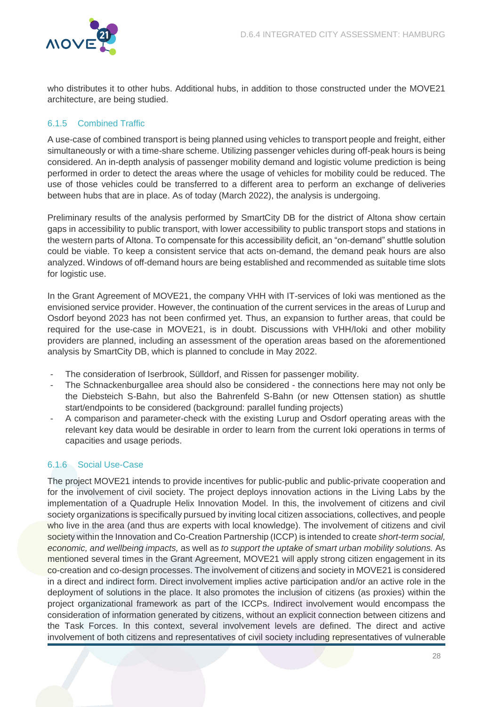

who distributes it to other hubs. Additional hubs, in addition to those constructed under the MOVE21 architecture, are being studied.

# <span id="page-28-0"></span>6.1.5 Combined Traffic

A use-case of combined transport is being planned using vehicles to transport people and freight, either simultaneously or with a time-share scheme. Utilizing passenger vehicles during off-peak hours is being considered. An in-depth analysis of passenger mobility demand and logistic volume prediction is being performed in order to detect the areas where the usage of vehicles for mobility could be reduced. The use of those vehicles could be transferred to a different area to perform an exchange of deliveries between hubs that are in place. As of today (March 2022), the analysis is undergoing.

Preliminary results of the analysis performed by SmartCity DB for the district of Altona show certain gaps in accessibility to public transport, with lower accessibility to public transport stops and stations in the western parts of Altona. To compensate for this accessibility deficit, an "on-demand" shuttle solution could be viable. To keep a consistent service that acts on-demand, the demand peak hours are also analyzed. Windows of off-demand hours are being established and recommended as suitable time slots for logistic use.

In the Grant Agreement of MOVE21, the company VHH with IT-services of Ioki was mentioned as the envisioned service provider. However, the continuation of the current services in the areas of Lurup and Osdorf beyond 2023 has not been confirmed yet. Thus, an expansion to further areas, that could be required for the use-case in MOVE21, is in doubt. Discussions with VHH/Ioki and other mobility providers are planned, including an assessment of the operation areas based on the aforementioned analysis by SmartCity DB, which is planned to conclude in May 2022.

- The consideration of Iserbrook, Sülldorf, and Rissen for passenger mobility.
- The Schnackenburgallee area should also be considered the connections here may not only be the Diebsteich S-Bahn, but also the Bahrenfeld S-Bahn (or new Ottensen station) as shuttle start/endpoints to be considered (background: parallel funding projects)
- A comparison and parameter-check with the existing Lurup and Osdorf operating areas with the relevant key data would be desirable in order to learn from the current Ioki operations in terms of capacities and usage periods.

# <span id="page-28-1"></span>6.1.6 Social Use-Case

The project MOVE21 intends to provide incentives for public-public and public-private cooperation and for the involvement of civil society. The project deploys innovation actions in the Living Labs by the implementation of a Quadruple Helix Innovation Model. In this, the involvement of citizens and civil society organizations is specifically pursued by inviting local citizen associations, collectives, and people who live in the area (and thus are experts with local knowledge). The involvement of citizens and civil society within the Innovation and Co-Creation Partnership (ICCP) is intended to create short-term social, economic, and wellbeing impacts, as well as to support the uptake of smart urban mobility solutions. As mentioned several times in the Grant Agreement, MOVE21 will apply strong citizen engagement in its co-creation and co-design processes. The involvement of citizens and society in MOVE21 is considered in a direct and indirect form. Direct involvement implies active participation and/or an active role in the deployment of solutions in the place. It also promotes the inclusion of citizens (as proxies) within the project organizational framework as part of the ICCPs. Indirect involvement would encompass the consideration of information generated by citizens, without an explicit connection between citizens and the Task Forces. In this context, several involvement levels are defined. The direct and active involvement of both citizens and representatives of civil society including representatives of vulnerable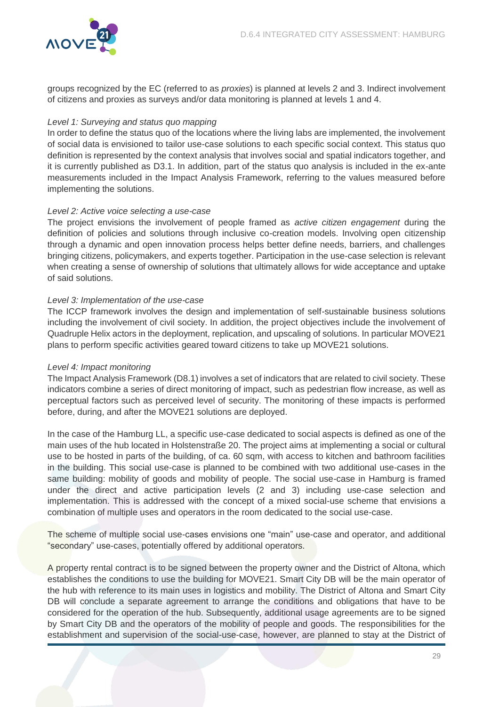

groups recognized by the EC (referred to as proxies) is planned at levels 2 and 3. Indirect involvement of citizens and proxies as surveys and/or data monitoring is planned at levels 1 and 4.

# Level 1: Surveying and status quo mapping

In order to define the status quo of the locations where the living labs are implemented, the involvement of social data is envisioned to tailor use-case solutions to each specific social context. This status quo definition is represented by the context analysis that involves social and spatial indicators together, and it is currently published as D3.1. In addition, part of the status quo analysis is included in the ex-ante measurements included in the Impact Analysis Framework, referring to the values measured before implementing the solutions.

#### Level 2: Active voice selecting a use-case

The project envisions the involvement of people framed as *active citizen engagement* during the definition of policies and solutions through inclusive co-creation models. Involving open citizenship through a dynamic and open innovation process helps better define needs, barriers, and challenges bringing citizens, policymakers, and experts together. Participation in the use-case selection is relevant when creating a sense of ownership of solutions that ultimately allows for wide acceptance and uptake of said solutions.

### Level 3: Implementation of the use-case

The ICCP framework involves the design and implementation of self-sustainable business solutions including the involvement of civil society. In addition, the project objectives include the involvement of Quadruple Helix actors in the deployment, replication, and upscaling of solutions. In particular MOVE21 plans to perform specific activities geared toward citizens to take up MOVE21 solutions.

#### Level 4: Impact monitoring

The Impact Analysis Framework (D8.1) involves a set of indicators that are related to civil society. These indicators combine a series of direct monitoring of impact, such as pedestrian flow increase, as well as perceptual factors such as perceived level of security. The monitoring of these impacts is performed before, during, and after the MOVE21 solutions are deployed.

In the case of the Hamburg LL, a specific use-case dedicated to social aspects is defined as one of the main uses of the hub located in Holstenstraße 20. The project aims at implementing a social or cultural use to be hosted in parts of the building, of ca. 60 sqm, with access to kitchen and bathroom facilities in the building. This social use-case is planned to be combined with two additional use-cases in the same building: mobility of goods and mobility of people. The social use-case in Hamburg is framed under the direct and active participation levels (2 and 3) including use-case selection and implementation. This is addressed with the concept of a mixed social-use scheme that envisions a combination of multiple uses and operators in the room dedicated to the social use-case.

The scheme of multiple social use-cases envisions one "main" use-case and operator, and additional "secondary" use-cases, potentially offered by additional operators.

A property rental contract is to be signed between the property owner and the District of Altona, which establishes the conditions to use the building for MOVE21. Smart City DB will be the main operator of the hub with reference to its main uses in logistics and mobility. The District of Altona and Smart City DB will conclude a separate agreement to arrange the conditions and obligations that have to be considered for the operation of the hub. Subsequently, additional usage agreements are to be signed by Smart City DB and the operators of the mobility of people and goods. The responsibilities for the establishment and supervision of the social-use-case, however, are planned to stay at the District of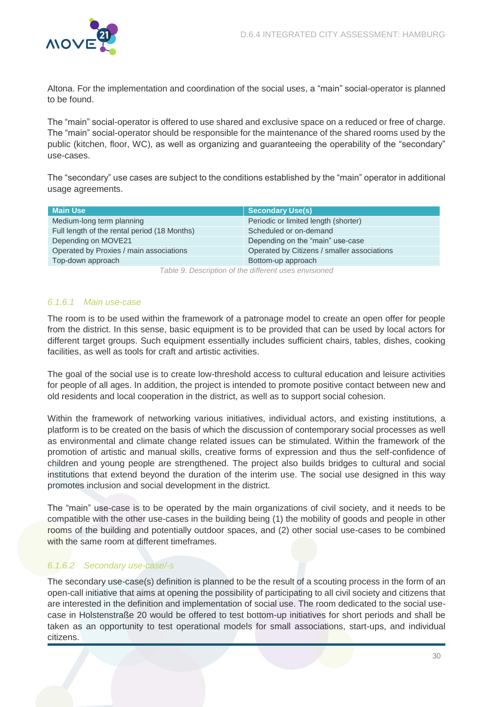

Altona. For the implementation and coordination of the social uses, a "main" social-operator is planned to be found.

The "main" social-operator is offered to use shared and exclusive space on a reduced or free of charge. The "main" social-operator should be responsible for the maintenance of the shared rooms used by the public (kitchen, floor, WC), as well as organizing and guaranteeing the operability of the "secondary" use-cases.

The "secondary" use cases are subject to the conditions established by the "main" operator in additional usage agreements.

| <b>Main Use</b>                                      | <b>Secondary Use(s)</b>                     |  |
|------------------------------------------------------|---------------------------------------------|--|
| Medium-long term planning                            | Periodic or limited length (shorter)        |  |
| Full length of the rental period (18 Months)         | Scheduled or on-demand                      |  |
| Depending on MOVE21                                  | Depending on the "main" use-case            |  |
| Operated by Proxies / main associations              | Operated by Citizens / smaller associations |  |
| Top-down approach                                    | Bottom-up approach                          |  |
| Table O Description of the different uses envisioned |                                             |  |

Table 9. Description of the different uses envisioned

### <span id="page-30-0"></span>6.1.6.1 Main use-case

The room is to be used within the framework of a patronage model to create an open offer for people from the district. In this sense, basic equipment is to be provided that can be used by local actors for different target groups. Such equipment essentially includes sufficient chairs, tables, dishes, cooking facilities, as well as tools for craft and artistic activities.

The goal of the social use is to create low-threshold access to cultural education and leisure activities for people of all ages. In addition, the project is intended to promote positive contact between new and old residents and local cooperation in the district, as well as to support social cohesion.

Within the framework of networking various initiatives, individual actors, and existing institutions, a platform is to be created on the basis of which the discussion of contemporary social processes as well as environmental and climate change related issues can be stimulated. Within the framework of the promotion of artistic and manual skills, creative forms of expression and thus the self-confidence of children and young people are strengthened. The project also builds bridges to cultural and social institutions that extend beyond the duration of the interim use. The social use designed in this way promotes inclusion and social development in the district.

The "main" use-case is to be operated by the main organizations of civil society, and it needs to be compatible with the other use-cases in the building being (1) the mobility of goods and people in other rooms of the building and potentially outdoor spaces, and (2) other social use-cases to be combined with the same room at different timeframes.

# 6.1.6.2 Secondary use-case/-s

The secondary use-case(s) definition is planned to be the result of a scouting process in the form of an open-call initiative that aims at opening the possibility of participating to all civil society and citizens that are interested in the definition and implementation of social use. The room dedicated to the social usecase in Holstenstraße 20 would be offered to test bottom-up initiatives for short periods and shall be taken as an opportunity to test operational models for small associations, start-ups, and individual citizens.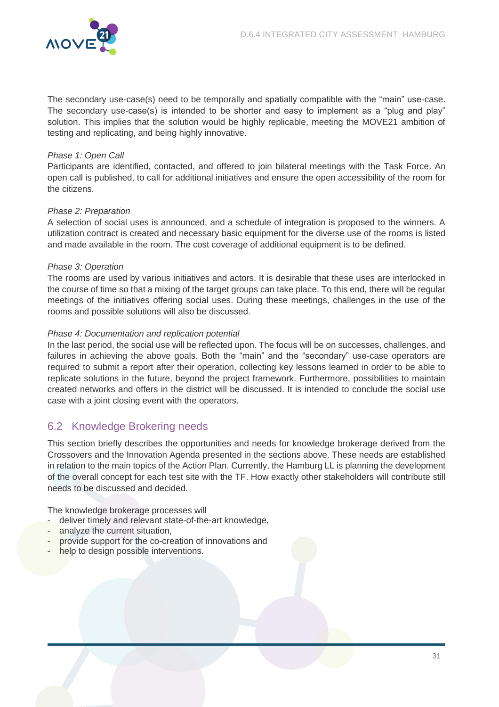

The secondary use-case(s) need to be temporally and spatially compatible with the "main" use-case. The secondary use-case(s) is intended to be shorter and easy to implement as a "plug and play" solution. This implies that the solution would be highly replicable, meeting the MOVE21 ambition of testing and replicating, and being highly innovative.

#### Phase 1: Open Call

Participants are identified, contacted, and offered to join bilateral meetings with the Task Force. An open call is published, to call for additional initiatives and ensure the open accessibility of the room for the citizens.

#### Phase 2: Preparation

A selection of social uses is announced, and a schedule of integration is proposed to the winners. A utilization contract is created and necessary basic equipment for the diverse use of the rooms is listed and made available in the room. The cost coverage of additional equipment is to be defined.

### Phase 3: Operation

The rooms are used by various initiatives and actors. It is desirable that these uses are interlocked in the course of time so that a mixing of the target groups can take place. To this end, there will be regular meetings of the initiatives offering social uses. During these meetings, challenges in the use of the rooms and possible solutions will also be discussed.

### Phase 4: Documentation and replication potential

In the last period, the social use will be reflected upon. The focus will be on successes, challenges, and failures in achieving the above goals. Both the "main" and the "secondary" use-case operators are required to submit a report after their operation, collecting key lessons learned in order to be able to replicate solutions in the future, beyond the project framework. Furthermore, possibilities to maintain created networks and offers in the district will be discussed. It is intended to conclude the social use case with a joint closing event with the operators.

# <span id="page-31-0"></span>6.2 Knowledge Brokering needs

This section briefly describes the opportunities and needs for knowledge brokerage derived from the Crossovers and the Innovation Agenda presented in the sections above. These needs are established in relation to the main topics of the Action Plan. Currently, the Hamburg LL is planning the development of the overall concept for each test site with the TF. How exactly other stakeholders will contribute still needs to be discussed and decided.

The knowledge brokerage processes will

- deliver timely and relevant state-of-the-art knowledge,
- analyze the current situation,
- provide support for the co-creation of innovations and
- help to design possible interventions.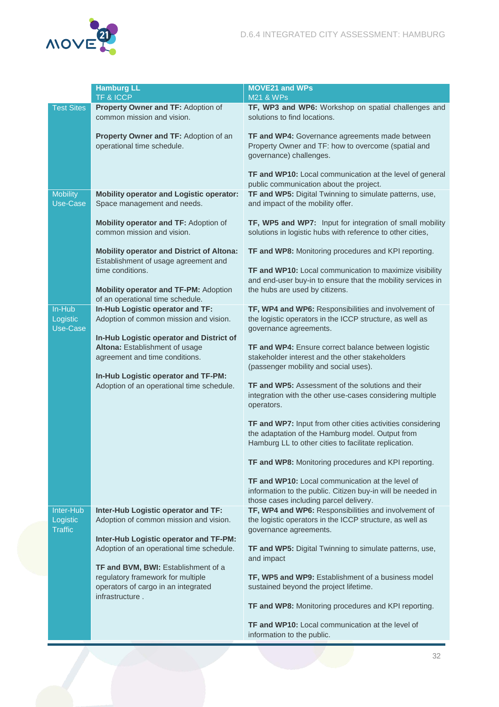

|                                         | <b>Hamburg LL</b><br>TF & ICCP                                                                                  | <b>MOVE21 and WPs</b><br><b>M21 &amp; WPs</b>                                                                                                                           |
|-----------------------------------------|-----------------------------------------------------------------------------------------------------------------|-------------------------------------------------------------------------------------------------------------------------------------------------------------------------|
| <b>Test Sites</b>                       | Property Owner and TF: Adoption of<br>common mission and vision.                                                | TF, WP3 and WP6: Workshop on spatial challenges and<br>solutions to find locations.                                                                                     |
|                                         | Property Owner and TF: Adoption of an<br>operational time schedule.                                             | TF and WP4: Governance agreements made between<br>Property Owner and TF: how to overcome (spatial and<br>governance) challenges.                                        |
|                                         |                                                                                                                 | TF and WP10: Local communication at the level of general<br>public communication about the project.                                                                     |
| <b>Mobility</b><br>Use-Case             | <b>Mobility operator and Logistic operator:</b><br>Space management and needs.                                  | TF and WP5: Digital Twinning to simulate patterns, use,<br>and impact of the mobility offer.                                                                            |
|                                         | Mobility operator and TF: Adoption of<br>common mission and vision.                                             | TF, WP5 and WP7: Input for integration of small mobility<br>solutions in logistic hubs with reference to other cities,                                                  |
|                                         | <b>Mobility operator and District of Altona:</b><br>Establishment of usage agreement and                        | TF and WP8: Monitoring procedures and KPI reporting.                                                                                                                    |
|                                         | time conditions.<br><b>Mobility operator and TF-PM: Adoption</b>                                                | TF and WP10: Local communication to maximize visibility<br>and end-user buy-in to ensure that the mobility services in<br>the hubs are used by citizens.                |
| In-Hub                                  | of an operational time schedule.<br>In-Hub Logistic operator and TF:                                            | TF, WP4 and WP6: Responsibilities and involvement of                                                                                                                    |
| Logistic<br>Use-Case                    | Adoption of common mission and vision.                                                                          | the logistic operators in the ICCP structure, as well as<br>governance agreements.                                                                                      |
|                                         | In-Hub Logistic operator and District of<br>Altona: Establishment of usage<br>agreement and time conditions.    | <b>TF and WP4:</b> Ensure correct balance between logistic<br>stakeholder interest and the other stakeholders                                                           |
|                                         | In-Hub Logistic operator and TF-PM:                                                                             | (passenger mobility and social uses).                                                                                                                                   |
|                                         | Adoption of an operational time schedule.                                                                       | TF and WP5: Assessment of the solutions and their<br>integration with the other use-cases considering multiple<br>operators.                                            |
|                                         |                                                                                                                 | TF and WP7: Input from other cities activities considering<br>the adaptation of the Hamburg model. Output from<br>Hamburg LL to other cities to facilitate replication. |
|                                         |                                                                                                                 | TF and WP8: Monitoring procedures and KPI reporting.                                                                                                                    |
|                                         |                                                                                                                 | <b>TF and WP10:</b> Local communication at the level of<br>information to the public. Citizen buy-in will be needed in<br>those cases including parcel delivery.        |
| Inter-Hub<br>Logistic<br><b>Traffic</b> | Inter-Hub Logistic operator and TF:<br>Adoption of common mission and vision.                                   | TF, WP4 and WP6: Responsibilities and involvement of<br>the logistic operators in the ICCP structure, as well as<br>governance agreements.                              |
|                                         | Inter-Hub Logistic operator and TF-PM:<br>Adoption of an operational time schedule.                             | TF and WP5: Digital Twinning to simulate patterns, use,<br>and impact                                                                                                   |
|                                         | TF and BVM, BWI: Establishment of a<br>regulatory framework for multiple<br>operators of cargo in an integrated | TF, WP5 and WP9: Establishment of a business model<br>sustained beyond the project lifetime.                                                                            |
|                                         | infrastructure.                                                                                                 | TF and WP8: Monitoring procedures and KPI reporting.                                                                                                                    |
|                                         |                                                                                                                 | <b>TF and WP10:</b> Local communication at the level of<br>information to the public.                                                                                   |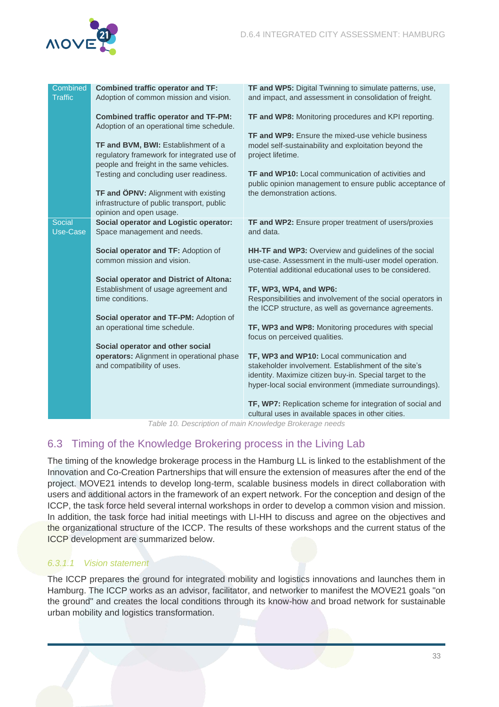

| Combined<br><b>Traffic</b> | <b>Combined traffic operator and TF:</b><br>Adoption of common mission and vision. | TF and WP5: Digital Twinning to simulate patterns, use,<br>and impact, and assessment in consolidation of freight. |
|----------------------------|------------------------------------------------------------------------------------|--------------------------------------------------------------------------------------------------------------------|
|                            |                                                                                    |                                                                                                                    |
|                            | <b>Combined traffic operator and TF-PM:</b>                                        | TF and WP8: Monitoring procedures and KPI reporting.                                                               |
|                            | Adoption of an operational time schedule.                                          |                                                                                                                    |
|                            |                                                                                    | TF and WP9: Ensure the mixed-use vehicle business                                                                  |
|                            | TF and BVM, BWI: Establishment of a                                                | model self-sustainability and exploitation beyond the                                                              |
|                            | regulatory framework for integrated use of                                         | project lifetime.                                                                                                  |
|                            | people and freight in the same vehicles.                                           | <b>TF and WP10:</b> Local communication of activities and                                                          |
|                            | Testing and concluding user readiness.                                             |                                                                                                                    |
|                            | TF and ÖPNV: Alignment with existing                                               | public opinion management to ensure public acceptance of<br>the demonstration actions.                             |
|                            | infrastructure of public transport, public                                         |                                                                                                                    |
|                            | opinion and open usage.                                                            |                                                                                                                    |
| Social                     | <b>Social operator and Logistic operator:</b>                                      | TF and WP2: Ensure proper treatment of users/proxies                                                               |
| Use-Case                   | Space management and needs.                                                        | and data.                                                                                                          |
|                            |                                                                                    |                                                                                                                    |
|                            | Social operator and TF: Adoption of                                                | HH-TF and WP3: Overview and guidelines of the social                                                               |
|                            | common mission and vision.                                                         | use-case. Assessment in the multi-user model operation.                                                            |
|                            |                                                                                    | Potential additional educational uses to be considered.                                                            |
|                            | <b>Social operator and District of Altona:</b>                                     |                                                                                                                    |
|                            | Establishment of usage agreement and                                               | TF, WP3, WP4, and WP6:                                                                                             |
|                            | time conditions.                                                                   | Responsibilities and involvement of the social operators in                                                        |
|                            |                                                                                    | the ICCP structure, as well as governance agreements.                                                              |
|                            | Social operator and TF-PM: Adoption of<br>an operational time schedule.            | TF, WP3 and WP8: Monitoring procedures with special                                                                |
|                            |                                                                                    | focus on perceived qualities.                                                                                      |
|                            | Social operator and other social                                                   |                                                                                                                    |
|                            | operators: Alignment in operational phase                                          | TF, WP3 and WP10: Local communication and                                                                          |
|                            | and compatibility of uses.                                                         | stakeholder involvement. Establishment of the site's                                                               |
|                            |                                                                                    | identity. Maximize citizen buy-in. Special target to the                                                           |
|                            |                                                                                    | hyper-local social environment (immediate surroundings).                                                           |
|                            |                                                                                    | TF, WP7: Replication scheme for integration of social and                                                          |
|                            |                                                                                    | cultural uses in available spaces in other cities.                                                                 |

Table 10. Description of main Knowledge Brokerage needs

# <span id="page-33-1"></span><span id="page-33-0"></span>6.3 Timing of the Knowledge Brokering process in the Living Lab

The timing of the knowledge brokerage process in the Hamburg LL is linked to the establishment of the Innovation and Co-Creation Partnerships that will ensure the extension of measures after the end of the project. MOVE21 intends to develop long-term, scalable business models in direct collaboration with users and additional actors in the framework of an expert network. For the conception and design of the ICCP, the task force held several internal workshops in order to develop a common vision and mission. In addition, the task force had initial meetings with LI-HH to discuss and agree on the objectives and the organizational structure of the ICCP. The results of these workshops and the current status of the ICCP development are summarized below.

# 6.3.1.1 Vision statement

The ICCP prepares the ground for integrated mobility and logistics innovations and launches them in Hamburg. The ICCP works as an advisor, facilitator, and networker to manifest the MOVE21 goals "on the ground" and creates the local conditions through its know-how and broad network for sustainable urban mobility and logistics transformation.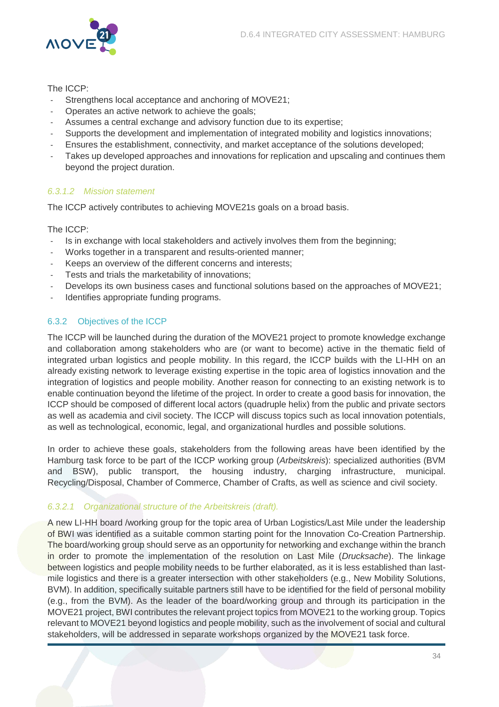

### The ICCP:

- Strengthens local acceptance and anchoring of MOVE21;
- Operates an active network to achieve the goals;
- Assumes a central exchange and advisory function due to its expertise;
- Supports the development and implementation of integrated mobility and logistics innovations;
- Ensures the establishment, connectivity, and market acceptance of the solutions developed;
- Takes up developed approaches and innovations for replication and upscaling and continues them beyond the project duration.

### 6.3.1.2 Mission statement

The ICCP actively contributes to achieving MOVE21s goals on a broad basis.

### The ICCP:

- Is in exchange with local stakeholders and actively involves them from the beginning;
- Works together in a transparent and results-oriented manner;
- Keeps an overview of the different concerns and interests:
- Tests and trials the marketability of innovations;
- Develops its own business cases and functional solutions based on the approaches of MOVE21;
- Identifies appropriate funding programs.

# <span id="page-34-0"></span>6.3.2 Objectives of the ICCP

The ICCP will be launched during the duration of the MOVE21 project to promote knowledge exchange and collaboration among stakeholders who are (or want to become) active in the thematic field of integrated urban logistics and people mobility. In this regard, the ICCP builds with the LI-HH on an already existing network to leverage existing expertise in the topic area of logistics innovation and the integration of logistics and people mobility. Another reason for connecting to an existing network is to enable continuation beyond the lifetime of the project. In order to create a good basis for innovation, the ICCP should be composed of different local actors (quadruple helix) from the public and private sectors as well as academia and civil society. The ICCP will discuss topics such as local innovation potentials, as well as technological, economic, legal, and organizational hurdles and possible solutions.

In order to achieve these goals, stakeholders from the following areas have been identified by the Hamburg task force to be part of the ICCP working group (Arbeitskreis): specialized authorities (BVM and BSW), public transport, the housing industry, charging infrastructure, municipal. Recycling/Disposal, Chamber of Commerce, Chamber of Crafts, as well as science and civil society.

# 6.3.2.1 Organizational structure of the Arbeitskreis (draft).

A new LI-HH board /working group for the topic area of Urban Logistics/Last Mile under the leadership of BWI was identified as a suitable common starting point for the Innovation Co-Creation Partnership. The board/working group should serve as an opportunity for networking and exchange within the branch in order to promote the implementation of the resolution on Last Mile (*Drucksache*). The linkage between logistics and people mobility needs to be further elaborated, as it is less established than lastmile logistics and there is a greater intersection with other stakeholders (e.g., New Mobility Solutions, BVM). In addition, specifically suitable partners still have to be identified for the field of personal mobility (e.g., from the BVM). As the leader of the board/working group and through its participation in the MOVE21 project, BWI contributes the relevant project topics from MOVE21 to the working group. Topics relevant to MOVE21 beyond logistics and people mobility, such as the involvement of social and cultural stakeholders, will be addressed in separate workshops organized by the MOVE21 task force.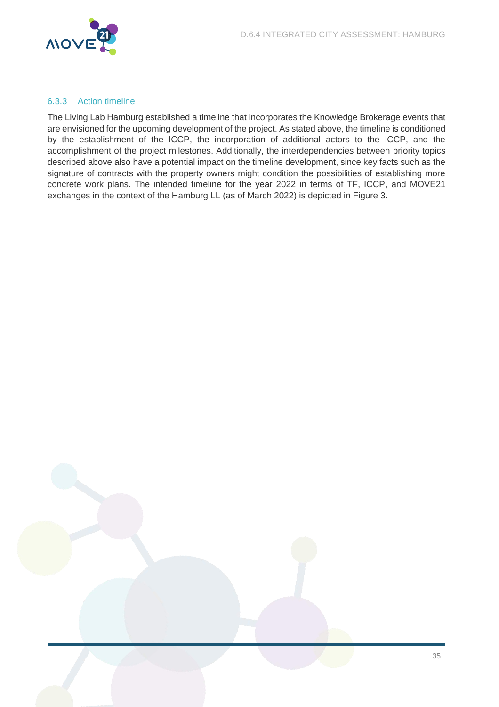

### <span id="page-35-0"></span>6.3.3 Action timeline

The Living Lab Hamburg established a timeline that incorporates the Knowledge Brokerage events that are envisioned for the upcoming development of the project. As stated above, the timeline is conditioned by the establishment of the ICCP, the incorporation of additional actors to the ICCP, and the accomplishment of the project milestones. Additionally, the interdependencies between priority topics described above also have a potential impact on the timeline development, since key facts such as the signature of contracts with the property owners might condition the possibilities of establishing more concrete work plans. The intended timeline for the year 2022 in terms of TF, ICCP, and MOVE21 exchanges in the context of the Hamburg LL (as of March 2022) is depicted in Figure 3.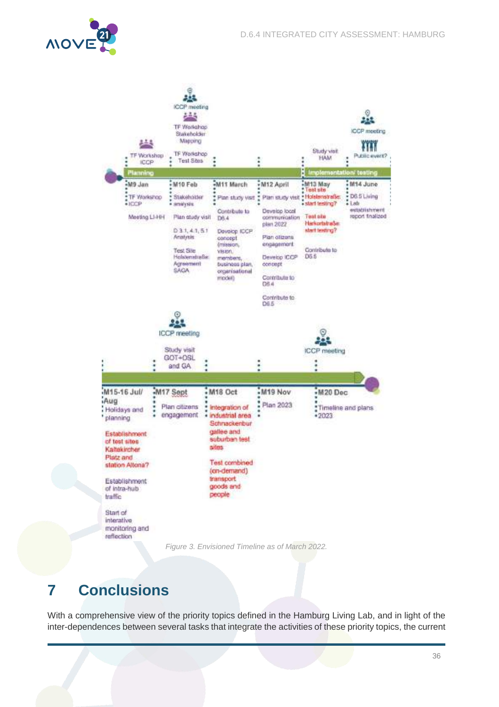



# <span id="page-36-1"></span><span id="page-36-0"></span>**7 Conclusions**

With a comprehensive view of the priority topics defined in the Hamburg Living Lab, and in light of the inter-dependences between several tasks that integrate the activities of these priority topics, the current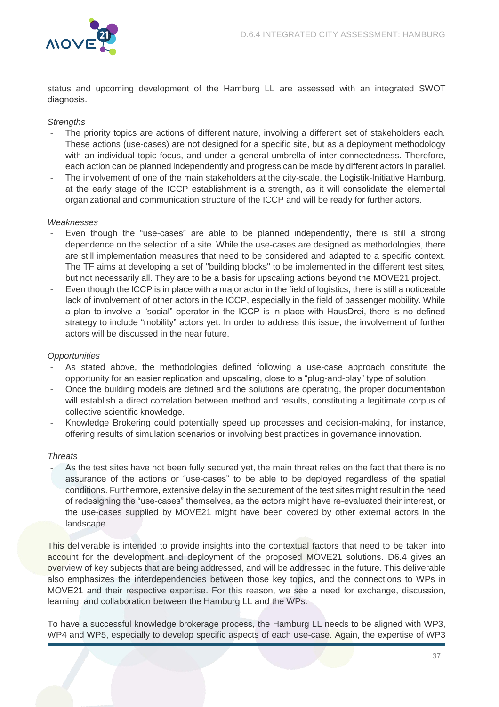

status and upcoming development of the Hamburg LL are assessed with an integrated SWOT diagnosis.

# **Strengths**

- The priority topics are actions of different nature, involving a different set of stakeholders each. These actions (use-cases) are not designed for a specific site, but as a deployment methodology with an individual topic focus, and under a general umbrella of inter-connectedness. Therefore, each action can be planned independently and progress can be made by different actors in parallel.
- The involvement of one of the main stakeholders at the city-scale, the Logistik-Initiative Hamburg, at the early stage of the ICCP establishment is a strength, as it will consolidate the elemental organizational and communication structure of the ICCP and will be ready for further actors.

#### **Weaknesses**

- Even though the "use-cases" are able to be planned independently, there is still a strong dependence on the selection of a site. While the use-cases are designed as methodologies, there are still implementation measures that need to be considered and adapted to a specific context. The TF aims at developing a set of "building blocks" to be implemented in the different test sites, but not necessarily all. They are to be a basis for upscaling actions beyond the MOVE21 project.
- Even though the ICCP is in place with a major actor in the field of logistics, there is still a noticeable lack of involvement of other actors in the ICCP, especially in the field of passenger mobility. While a plan to involve a "social" operator in the ICCP is in place with HausDrei, there is no defined strategy to include "mobility" actors yet. In order to address this issue, the involvement of further actors will be discussed in the near future.

#### **Opportunities**

- As stated above, the methodologies defined following a use-case approach constitute the opportunity for an easier replication and upscaling, close to a "plug-and-play" type of solution.
- Once the building models are defined and the solutions are operating, the proper documentation will establish a direct correlation between method and results, constituting a legitimate corpus of collective scientific knowledge.
- Knowledge Brokering could potentially speed up processes and decision-making, for instance, offering results of simulation scenarios or involving best practices in governance innovation.

#### **Threats**

As the test sites have not been fully secured yet, the main threat relies on the fact that there is no assurance of the actions or "use-cases" to be able to be deployed regardless of the spatial conditions. Furthermore, extensive delay in the securement of the test sites might result in the need of redesigning the "use-cases" themselves, as the actors might have re-evaluated their interest, or the use-cases supplied by MOVE21 might have been covered by other external actors in the landscape.

This deliverable is intended to provide insights into the contextual factors that need to be taken into account for the development and deployment of the proposed MOVE21 solutions. D6.4 gives an overview of key subjects that are being addressed, and will be addressed in the future. This deliverable also emphasizes the interdependencies between those key topics, and the connections to WPs in MOVE21 and their respective expertise. For this reason, we see a need for exchange, discussion, learning, and collaboration between the Hamburg LL and the WPs.

To have a successful knowledge brokerage process, the Hamburg LL needs to be aligned with WP3, WP4 and WP5, especially to develop specific aspects of each use-case. Again, the expertise of WP3